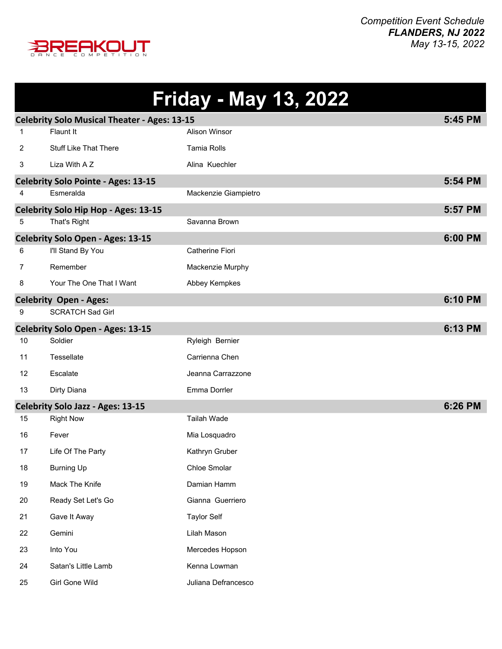

|    |                                                     | <b>Friday - May 13, 2022</b> |         |
|----|-----------------------------------------------------|------------------------------|---------|
|    | <b>Celebrity Solo Musical Theater - Ages: 13-15</b> |                              | 5:45 PM |
| 1  | Flaunt It                                           | <b>Alison Winsor</b>         |         |
| 2  | <b>Stuff Like That There</b>                        | Tamia Rolls                  |         |
| 3  | Liza With A Z                                       | Alina Kuechler               |         |
|    | <b>Celebrity Solo Pointe - Ages: 13-15</b>          |                              | 5:54 PM |
| 4  | Esmeralda                                           | Mackenzie Giampietro         |         |
|    | Celebrity Solo Hip Hop - Ages: 13-15                |                              | 5:57 PM |
| 5  | That's Right                                        | Savanna Brown                |         |
|    | <b>Celebrity Solo Open - Ages: 13-15</b>            |                              | 6:00 PM |
| 6  | I'll Stand By You                                   | Catherine Fiori              |         |
| 7  | Remember                                            | Mackenzie Murphy             |         |
| 8  | Your The One That I Want                            | Abbey Kempkes                |         |
|    | <b>Celebrity Open - Ages:</b>                       |                              | 6:10 PM |
| 9  | <b>SCRATCH Sad Girl</b>                             |                              |         |
|    | Celebrity Solo Open - Ages: 13-15                   |                              | 6:13 PM |
| 10 | Soldier                                             | Ryleigh Bernier              |         |
| 11 | Tessellate                                          | Carrienna Chen               |         |
| 12 | Escalate                                            | Jeanna Carrazzone            |         |
| 13 | Dirty Diana                                         | Emma Dorrler                 |         |
|    | <b>Celebrity Solo Jazz - Ages: 13-15</b>            |                              | 6:26 PM |
| 15 | <b>Right Now</b>                                    | <b>Tailah Wade</b>           |         |
| 16 | Fever                                               | Mia Losquadro                |         |
| 17 | Life Of The Party                                   | Kathryn Gruber               |         |
| 18 | <b>Burning Up</b>                                   | Chloe Smolar                 |         |
| 19 | Mack The Knife                                      | Damian Hamm                  |         |
| 20 | Ready Set Let's Go                                  | Gianna Guerriero             |         |
| 21 | Gave It Away                                        | <b>Taylor Self</b>           |         |
| 22 | Gemini                                              | Lilah Mason                  |         |
| 23 | Into You                                            | Mercedes Hopson              |         |
| 24 | Satan's Little Lamb                                 | Kenna Lowman                 |         |
| 25 | Girl Gone Wild                                      | Juliana Defrancesco          |         |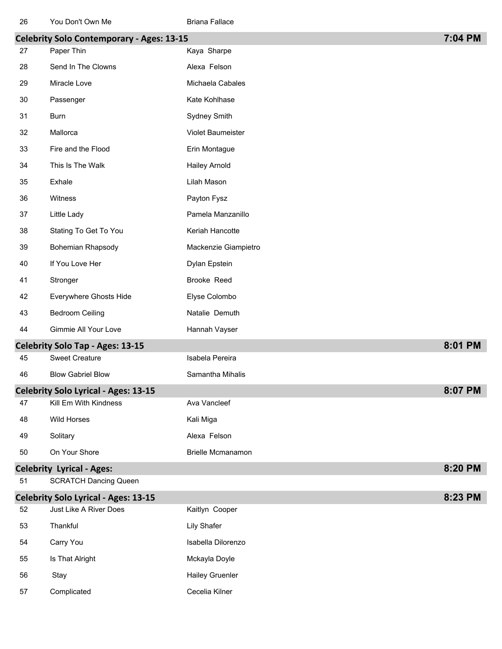| ZO | <b>TOU DOILL OWN INC</b>                         | <b>Driana Fallace</b>    |         |
|----|--------------------------------------------------|--------------------------|---------|
|    | <b>Celebrity Solo Contemporary - Ages: 13-15</b> |                          | 7:04 PM |
| 27 | Paper Thin                                       | Kaya Sharpe              |         |
| 28 | Send In The Clowns                               | Alexa Felson             |         |
| 29 | Miracle Love                                     | Michaela Cabales         |         |
| 30 | Passenger                                        | Kate Kohlhase            |         |
| 31 | Burn                                             | Sydney Smith             |         |
| 32 | Mallorca                                         | Violet Baumeister        |         |
| 33 | Fire and the Flood                               | Erin Montague            |         |
| 34 | This Is The Walk                                 | <b>Hailey Arnold</b>     |         |
| 35 | Exhale                                           | Lilah Mason              |         |
| 36 | Witness                                          | Payton Fysz              |         |
| 37 | Little Lady                                      | Pamela Manzanillo        |         |
| 38 | Stating To Get To You                            | Keriah Hancotte          |         |
| 39 | Bohemian Rhapsody                                | Mackenzie Giampietro     |         |
| 40 | If You Love Her                                  | Dylan Epstein            |         |
| 41 | Stronger                                         | Brooke Reed              |         |
| 42 | Everywhere Ghosts Hide                           | Elyse Colombo            |         |
| 43 | <b>Bedroom Ceiling</b>                           | Natalie Demuth           |         |
| 44 | Gimmie All Your Love                             | Hannah Vayser            |         |
|    | <b>Celebrity Solo Tap - Ages: 13-15</b>          |                          | 8:01 PM |
| 45 | <b>Sweet Creature</b>                            | Isabela Pereira          |         |
| 46 | <b>Blow Gabriel Blow</b>                         | Samantha Mihalis         |         |
|    | Celebrity Solo Lyrical - Ages: 13-15             |                          | 8:07 PM |
| 47 | Kill Em With Kindness                            | Ava Vancleef             |         |
| 48 | <b>Wild Horses</b>                               | Kali Miga                |         |
| 49 | Solitary                                         | Alexa Felson             |         |
| 50 | On Your Shore                                    | <b>Brielle Mcmanamon</b> |         |
|    | <b>Celebrity Lyrical - Ages:</b>                 |                          | 8:20 PM |

| 51 | <b>SCRATCH Dancing Queen</b> |  |
|----|------------------------------|--|
|----|------------------------------|--|

|    | <b>Celebrity Solo Lyrical - Ages: 13-15</b> |                        | 8:23 PM |
|----|---------------------------------------------|------------------------|---------|
| 52 | Just Like A River Does                      | Kaitlyn Cooper         |         |
| 53 | Thankful                                    | Lily Shafer            |         |
| 54 | Carry You                                   | Isabella Dilorenzo     |         |
| 55 | Is That Alright                             | Mckayla Doyle          |         |
| 56 | Stay                                        | <b>Hailey Gruenler</b> |         |
| 57 | Complicated                                 | Cecelia Kilner         |         |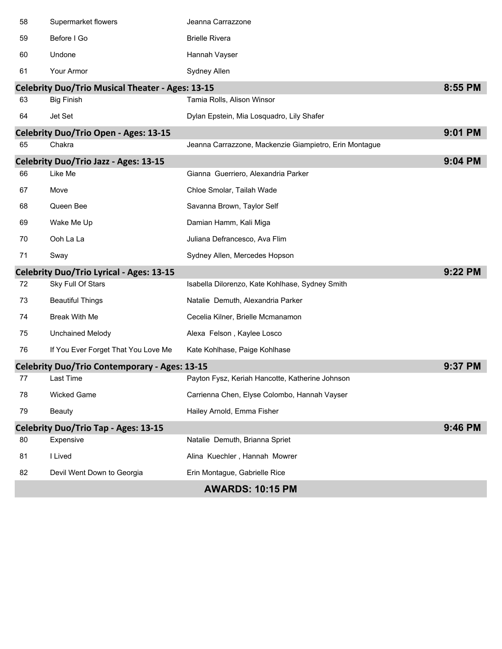| 58 | Supermarket flowers                                     | Jeanna Carrazzone                                      |         |
|----|---------------------------------------------------------|--------------------------------------------------------|---------|
| 59 | Before I Go                                             | <b>Brielle Rivera</b>                                  |         |
| 60 | Undone                                                  | Hannah Vayser                                          |         |
| 61 | Your Armor                                              | Sydney Allen                                           |         |
|    | <b>Celebrity Duo/Trio Musical Theater - Ages: 13-15</b> |                                                        | 8:55 PM |
| 63 | <b>Big Finish</b>                                       | Tamia Rolls, Alison Winsor                             |         |
| 64 | Jet Set                                                 | Dylan Epstein, Mia Losquadro, Lily Shafer              |         |
|    | <b>Celebrity Duo/Trio Open - Ages: 13-15</b>            |                                                        | 9:01 PM |
| 65 | Chakra                                                  | Jeanna Carrazzone, Mackenzie Giampietro, Erin Montague |         |
|    | <b>Celebrity Duo/Trio Jazz - Ages: 13-15</b>            |                                                        | 9:04 PM |
| 66 | Like Me                                                 | Gianna Guerriero, Alexandria Parker                    |         |
| 67 | Move                                                    | Chloe Smolar, Tailah Wade                              |         |
| 68 | Queen Bee                                               | Savanna Brown, Taylor Self                             |         |
| 69 | Wake Me Up                                              | Damian Hamm, Kali Miga                                 |         |
| 70 | Ooh La La                                               | Juliana Defrancesco, Ava Flim                          |         |
| 71 | Sway                                                    | Sydney Allen, Mercedes Hopson                          |         |
|    | <b>Celebrity Duo/Trio Lyrical - Ages: 13-15</b>         |                                                        | 9:22 PM |
| 72 | Sky Full Of Stars                                       | Isabella Dilorenzo, Kate Kohlhase, Sydney Smith        |         |
| 73 | <b>Beautiful Things</b>                                 | Natalie Demuth, Alexandria Parker                      |         |
| 74 | <b>Break With Me</b>                                    | Cecelia Kilner, Brielle Mcmanamon                      |         |
| 75 | <b>Unchained Melody</b>                                 | Alexa Felson, Kaylee Losco                             |         |
| 76 | If You Ever Forget That You Love Me                     | Kate Kohlhase, Paige Kohlhase                          |         |
|    | <b>Celebrity Duo/Trio Contemporary - Ages: 13-15</b>    |                                                        | 9:37 PM |
| 77 | Last Time                                               | Payton Fysz, Keriah Hancotte, Katherine Johnson        |         |
| 78 | Wicked Game                                             | Carrienna Chen, Elyse Colombo, Hannah Vayser           |         |
| 79 | <b>Beauty</b>                                           | Hailey Arnold, Emma Fisher                             |         |
|    | <b>Celebrity Duo/Trio Tap - Ages: 13-15</b>             |                                                        | 9:46 PM |
| 80 | Expensive                                               | Natalie Demuth, Brianna Spriet                         |         |
| 81 | I Lived                                                 | Alina Kuechler, Hannah Mowrer                          |         |
| 82 | Devil Went Down to Georgia                              | Erin Montague, Gabrielle Rice                          |         |
|    |                                                         | <b>AWARDS: 10:15 PM</b>                                |         |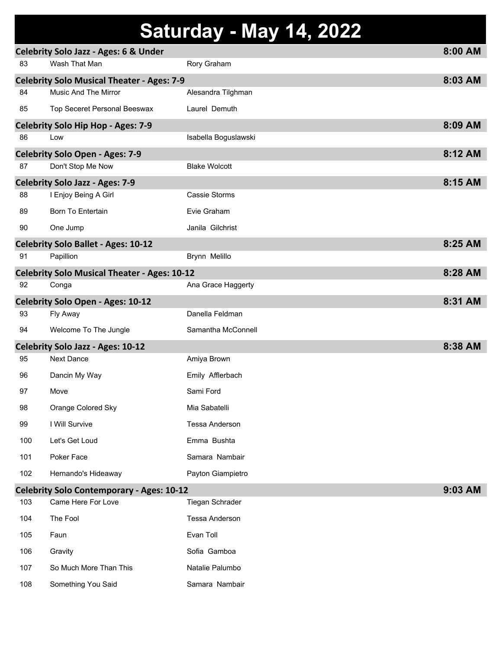# **Saturday - May 14, 2022**

|     | <b>Celebrity Solo Jazz - Ages: 6 &amp; Under</b>    |                      | 8:00 AM |
|-----|-----------------------------------------------------|----------------------|---------|
| 83  | Wash That Man                                       | Rory Graham          |         |
|     | <b>Celebrity Solo Musical Theater - Ages: 7-9</b>   |                      | 8:03 AM |
| 84  | Music And The Mirror                                | Alesandra Tilghman   |         |
| 85  | Top Seceret Personal Beeswax                        | Laurel Demuth        |         |
|     | <b>Celebrity Solo Hip Hop - Ages: 7-9</b>           |                      | 8:09 AM |
| 86  | Low                                                 | Isabella Boguslawski |         |
|     | <b>Celebrity Solo Open - Ages: 7-9</b>              |                      | 8:12 AM |
| 87  | Don't Stop Me Now                                   | <b>Blake Wolcott</b> |         |
|     | <b>Celebrity Solo Jazz - Ages: 7-9</b>              |                      | 8:15 AM |
| 88  | I Enjoy Being A Girl                                | Cassie Storms        |         |
| 89  | <b>Born To Entertain</b>                            | Evie Graham          |         |
| 90  | One Jump                                            | Janila Gilchrist     |         |
|     | <b>Celebrity Solo Ballet - Ages: 10-12</b>          |                      | 8:25 AM |
| 91  | Papillion                                           | Brynn Melillo        |         |
|     | <b>Celebrity Solo Musical Theater - Ages: 10-12</b> |                      | 8:28 AM |
| 92  | Conga                                               | Ana Grace Haggerty   |         |
|     | Celebrity Solo Open - Ages: 10-12                   |                      | 8:31 AM |
| 93  | Fly Away                                            | Danella Feldman      |         |
| 94  | Welcome To The Jungle                               | Samantha McConnell   |         |
|     | <b>Celebrity Solo Jazz - Ages: 10-12</b>            |                      | 8:38 AM |
| 95  | <b>Next Dance</b>                                   | Amiya Brown          |         |
| 96  | Dancin My Way                                       | Emily Afflerbach     |         |
| 97  | Move                                                | Sami Ford            |         |
| 98  | Orange Colored Sky                                  | Mia Sabatelli        |         |
| 99  | I Will Survive                                      | Tessa Anderson       |         |
| 100 | Let's Get Loud                                      | Emma Bushta          |         |
| 101 | Poker Face                                          | Samara Nambair       |         |
| 102 | Hernando's Hideaway                                 | Payton Giampietro    |         |
|     | <b>Celebrity Solo Contemporary - Ages: 10-12</b>    |                      | 9:03 AM |
| 103 | Came Here For Love                                  | Tiegan Schrader      |         |
| 104 | The Fool                                            | Tessa Anderson       |         |
| 105 | Faun                                                | Evan Toll            |         |
| 106 | Gravity                                             | Sofia Gamboa         |         |
| 107 | So Much More Than This                              | Natalie Palumbo      |         |
| 108 | Something You Said                                  | Samara Nambair       |         |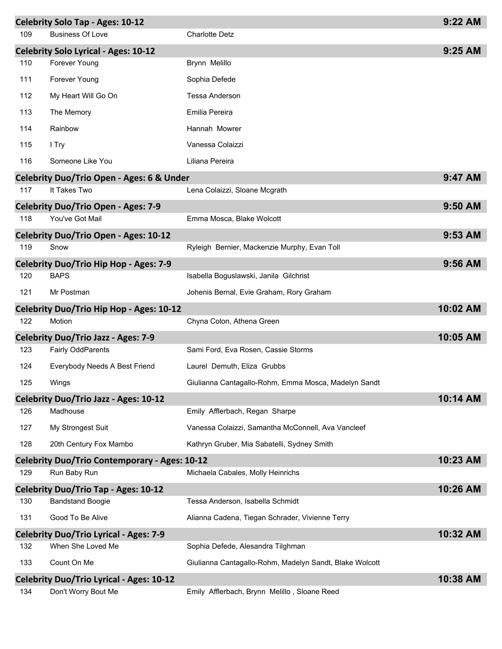|     | <b>Celebrity Solo Tap - Ages: 10-12</b>              |                                                         | 9:22 AM  |
|-----|------------------------------------------------------|---------------------------------------------------------|----------|
| 109 | <b>Business Of Love</b>                              | <b>Charlotte Detz</b>                                   |          |
|     | <b>Celebrity Solo Lyrical - Ages: 10-12</b>          |                                                         | 9:25 AM  |
| 110 | Forever Young                                        | Brynn Melillo                                           |          |
| 111 | Forever Young                                        | Sophia Defede                                           |          |
| 112 | My Heart Will Go On                                  | Tessa Anderson                                          |          |
| 113 | The Memory                                           | Emilia Pereira                                          |          |
| 114 | Rainbow                                              | Hannah Mowrer                                           |          |
| 115 | I Try                                                | Vanessa Colaizzi                                        |          |
| 116 | Someone Like You                                     | Liliana Pereira                                         |          |
|     | <b>Celebrity Duo/Trio Open - Ages: 6 &amp; Under</b> |                                                         | 9:47 AM  |
| 117 | It Takes Two                                         | Lena Colaizzi, Sloane Mcgrath                           |          |
|     | <b>Celebrity Duo/Trio Open - Ages: 7-9</b>           |                                                         | 9:50 AM  |
| 118 | You've Got Mail                                      | Emma Mosca, Blake Wolcott                               |          |
|     | Celebrity Duo/Trio Open - Ages: 10-12                |                                                         | 9:53 AM  |
| 119 | Snow                                                 | Ryleigh Bernier, Mackenzie Murphy, Evan Toll            |          |
|     | <b>Celebrity Duo/Trio Hip Hop - Ages: 7-9</b>        |                                                         | 9:56 AM  |
| 120 | <b>BAPS</b>                                          | Isabella Boguslawski, Janila Gilchrist                  |          |
| 121 | Mr Postman                                           | Johenis Bernal, Evie Graham, Rory Graham                |          |
|     | Celebrity Duo/Trio Hip Hop - Ages: 10-12             |                                                         | 10:02 AM |
| 122 | Motion                                               | Chyna Colon, Athena Green                               |          |
|     | <b>Celebrity Duo/Trio Jazz - Ages: 7-9</b>           |                                                         | 10:05 AM |
| 123 | <b>Fairly OddParents</b>                             | Sami Ford, Eva Rosen, Cassie Storms                     |          |
| 124 | Everybody Needs A Best Friend                        | Laurel Demuth, Eliza Grubbs                             |          |
| 125 | Wings                                                | Giulianna Cantagallo-Rohm, Emma Mosca, Madelyn Sandt    |          |
|     | <b>Celebrity Duo/Trio Jazz - Ages: 10-12</b>         |                                                         | 10:14 AM |
| 126 | Madhouse                                             | Emily Afflerbach, Regan Sharpe                          |          |
| 127 | My Strongest Suit                                    | Vanessa Colaizzi, Samantha McConnell, Ava Vancleef      |          |
| 128 | 20th Century Fox Mambo                               | Kathryn Gruber, Mia Sabatelli, Sydney Smith             |          |
|     | <b>Celebrity Duo/Trio Contemporary - Ages: 10-12</b> |                                                         | 10:23 AM |
| 129 | Run Baby Run                                         | Michaela Cabales, Molly Heinrichs                       |          |
|     | <b>Celebrity Duo/Trio Tap - Ages: 10-12</b>          |                                                         | 10:26 AM |
| 130 | <b>Bandstand Boogie</b>                              | Tessa Anderson, Isabella Schmidt                        |          |
| 131 | Good To Be Alive                                     | Alianna Cadena, Tiegan Schrader, Vivienne Terry         |          |
|     | <b>Celebrity Duo/Trio Lyrical - Ages: 7-9</b>        |                                                         | 10:32 AM |
| 132 | When She Loved Me                                    | Sophia Defede, Alesandra Tilghman                       |          |
| 133 | Count On Me                                          | Giulianna Cantagallo-Rohm, Madelyn Sandt, Blake Wolcott |          |
|     | <b>Celebrity Duo/Trio Lyrical - Ages: 10-12</b>      |                                                         | 10:38 AM |
| 134 | Don't Worry Bout Me                                  | Emily Afflerbach, Brynn Melillo, Sloane Reed            |          |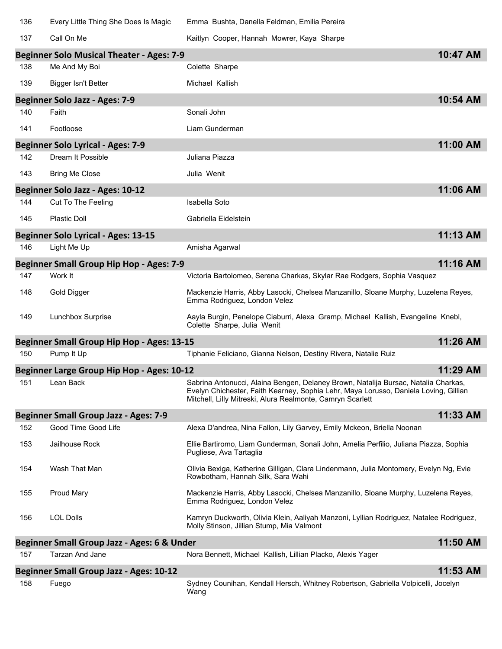| 136 | Every Little Thing She Does Is Magic              | Emma Bushta, Danella Feldman, Emilia Pereira                                                                                                                                                                                             |          |
|-----|---------------------------------------------------|------------------------------------------------------------------------------------------------------------------------------------------------------------------------------------------------------------------------------------------|----------|
| 137 | Call On Me                                        | Kaitlyn Cooper, Hannah Mowrer, Kaya Sharpe                                                                                                                                                                                               |          |
|     | <b>Beginner Solo Musical Theater - Ages: 7-9</b>  |                                                                                                                                                                                                                                          | 10:47 AM |
| 138 | Me And My Boi                                     | Colette Sharpe                                                                                                                                                                                                                           |          |
| 139 | Bigger Isn't Better                               | Michael Kallish                                                                                                                                                                                                                          |          |
|     | <b>Beginner Solo Jazz - Ages: 7-9</b>             |                                                                                                                                                                                                                                          | 10:54 AM |
| 140 | Faith                                             | Sonali John                                                                                                                                                                                                                              |          |
| 141 | Footloose                                         | Liam Gunderman                                                                                                                                                                                                                           |          |
|     | <b>Beginner Solo Lyrical - Ages: 7-9</b>          |                                                                                                                                                                                                                                          | 11:00 AM |
| 142 | Dream It Possible                                 | Juliana Piazza                                                                                                                                                                                                                           |          |
| 143 | <b>Bring Me Close</b>                             | Julia Wenit                                                                                                                                                                                                                              |          |
|     | Beginner Solo Jazz - Ages: 10-12                  |                                                                                                                                                                                                                                          | 11:06 AM |
| 144 | Cut To The Feeling                                | Isabella Soto                                                                                                                                                                                                                            |          |
| 145 | <b>Plastic Doll</b>                               | Gabriella Eidelstein                                                                                                                                                                                                                     |          |
|     | <b>Beginner Solo Lyrical - Ages: 13-15</b>        |                                                                                                                                                                                                                                          | 11:13 AM |
| 146 | Light Me Up                                       | Amisha Agarwal                                                                                                                                                                                                                           |          |
|     | <b>Beginner Small Group Hip Hop - Ages: 7-9</b>   |                                                                                                                                                                                                                                          | 11:16 AM |
| 147 | Work It                                           | Victoria Bartolomeo, Serena Charkas, Skylar Rae Rodgers, Sophia Vasquez                                                                                                                                                                  |          |
| 148 | Gold Digger                                       | Mackenzie Harris, Abby Lasocki, Chelsea Manzanillo, Sloane Murphy, Luzelena Reyes,<br>Emma Rodriguez, London Velez                                                                                                                       |          |
| 149 | Lunchbox Surprise                                 | Aayla Burgin, Penelope Ciaburri, Alexa Gramp, Michael Kallish, Evangeline Knebl,<br>Colette Sharpe, Julia Wenit                                                                                                                          |          |
|     | <b>Beginner Small Group Hip Hop - Ages: 13-15</b> |                                                                                                                                                                                                                                          | 11:26 AM |
| 150 | Pump It Up                                        | Tiphanie Feliciano, Gianna Nelson, Destiny Rivera, Natalie Ruiz                                                                                                                                                                          |          |
|     | <b>Beginner Large Group Hip Hop - Ages: 10-12</b> |                                                                                                                                                                                                                                          | 11:29 AM |
| 151 | Lean Back                                         | Sabrina Antonucci, Alaina Bengen, Delaney Brown, Natalija Bursac, Natalia Charkas,<br>Evelyn Chichester, Faith Kearney, Sophia Lehr, Maya Lorusso, Daniela Loving, Gillian<br>Mitchell, Lilly Mitreski, Alura Realmonte, Camryn Scarlett |          |
|     | <b>Beginner Small Group Jazz - Ages: 7-9</b>      |                                                                                                                                                                                                                                          | 11:33 AM |
| 152 | Good Time Good Life                               | Alexa D'andrea, Nina Fallon, Lily Garvey, Emily Mckeon, Briella Noonan                                                                                                                                                                   |          |
| 153 | Jailhouse Rock                                    | Ellie Bartiromo, Liam Gunderman, Sonali John, Amelia Perfilio, Juliana Piazza, Sophia<br>Pugliese, Ava Tartaglia                                                                                                                         |          |
| 154 | Wash That Man                                     | Olivia Bexiga, Katherine Gilligan, Clara Lindenmann, Julia Montomery, Evelyn Ng, Evie<br>Rowbotham, Hannah Silk, Sara Wahi                                                                                                               |          |
| 155 | Proud Mary                                        | Mackenzie Harris, Abby Lasocki, Chelsea Manzanillo, Sloane Murphy, Luzelena Reyes,<br>Emma Rodriguez, London Velez                                                                                                                       |          |
| 156 | <b>LOL Dolls</b>                                  | Kamryn Duckworth, Olivia Klein, Aaliyah Manzoni, Lyllian Rodriguez, Natalee Rodriguez,<br>Molly Stinson, Jillian Stump, Mia Valmont                                                                                                      |          |
|     | Beginner Small Group Jazz - Ages: 6 & Under       |                                                                                                                                                                                                                                          | 11:50 AM |
| 157 | Tarzan And Jane                                   | Nora Bennett, Michael Kallish, Lillian Placko, Alexis Yager                                                                                                                                                                              |          |
|     | <b>Beginner Small Group Jazz - Ages: 10-12</b>    |                                                                                                                                                                                                                                          | 11:53 AM |
| 158 | Fuego                                             | Sydney Counihan, Kendall Hersch, Whitney Robertson, Gabriella Volpicelli, Jocelyn<br>Wang                                                                                                                                                |          |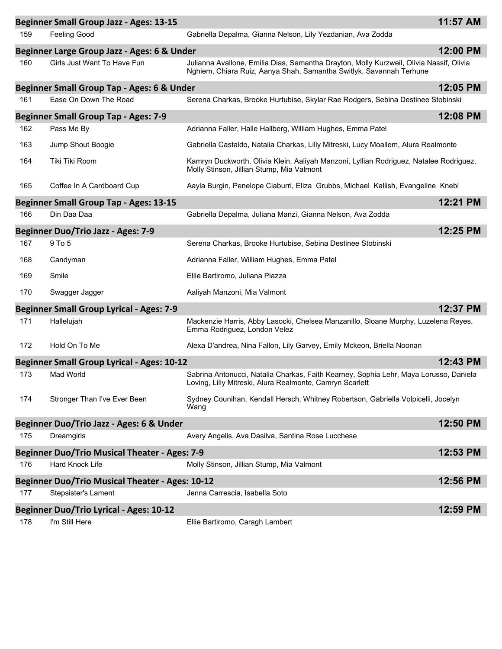|     | <b>Beginner Small Group Jazz - Ages: 13-15</b>         |                                                                                                                                                                | 11:57 AM |
|-----|--------------------------------------------------------|----------------------------------------------------------------------------------------------------------------------------------------------------------------|----------|
| 159 | Feeling Good                                           | Gabriella Depalma, Gianna Nelson, Lily Yezdanian, Ava Zodda                                                                                                    |          |
|     | Beginner Large Group Jazz - Ages: 6 & Under            |                                                                                                                                                                | 12:00 PM |
| 160 | Girls Just Want To Have Fun                            | Julianna Avallone, Emilia Dias, Samantha Drayton, Molly Kurzweil, Olivia Nassif, Olivia<br>Nghiem, Chiara Ruiz, Aanya Shah, Samantha Switlyk, Savannah Terhune |          |
|     | Beginner Small Group Tap - Ages: 6 & Under             |                                                                                                                                                                | 12:05 PM |
| 161 | Ease On Down The Road                                  | Serena Charkas, Brooke Hurtubise, Skylar Rae Rodgers, Sebina Destinee Stobinski                                                                                |          |
|     | <b>Beginner Small Group Tap - Ages: 7-9</b>            |                                                                                                                                                                | 12:08 PM |
| 162 | Pass Me By                                             | Adrianna Faller, Halle Hallberg, William Hughes, Emma Patel                                                                                                    |          |
| 163 | Jump Shout Boogie                                      | Gabriella Castaldo, Natalia Charkas, Lilly Mitreski, Lucy Moallem, Alura Realmonte                                                                             |          |
| 164 | Tiki Tiki Room                                         | Kamryn Duckworth, Olivia Klein, Aaliyah Manzoni, Lyllian Rodriguez, Natalee Rodriguez,<br>Molly Stinson, Jillian Stump, Mia Valmont                            |          |
| 165 | Coffee In A Cardboard Cup                              | Aayla Burgin, Penelope Ciaburri, Eliza Grubbs, Michael Kallish, Evangeline Knebl                                                                               |          |
|     | <b>Beginner Small Group Tap - Ages: 13-15</b>          |                                                                                                                                                                | 12:21 PM |
| 166 | Din Daa Daa                                            | Gabriella Depalma, Juliana Manzi, Gianna Nelson, Ava Zodda                                                                                                     |          |
|     | <b>Beginner Duo/Trio Jazz - Ages: 7-9</b>              |                                                                                                                                                                | 12:25 PM |
| 167 | 9 To 5                                                 | Serena Charkas, Brooke Hurtubise, Sebina Destinee Stobinski                                                                                                    |          |
| 168 | Candyman                                               | Adrianna Faller, William Hughes, Emma Patel                                                                                                                    |          |
| 169 | Smile                                                  | Ellie Bartiromo, Juliana Piazza                                                                                                                                |          |
| 170 | Swagger Jagger                                         | Aaliyah Manzoni, Mia Valmont                                                                                                                                   |          |
|     | <b>Beginner Small Group Lyrical - Ages: 7-9</b>        |                                                                                                                                                                | 12:37 PM |
| 171 | Hallelujah                                             | Mackenzie Harris, Abby Lasocki, Chelsea Manzanillo, Sloane Murphy, Luzelena Reyes,<br>Emma Rodriguez, London Velez                                             |          |
| 172 | Hold On To Me                                          | Alexa D'andrea, Nina Fallon, Lily Garvey, Emily Mckeon, Briella Noonan                                                                                         |          |
|     | <b>Beginner Small Group Lyrical - Ages: 10-12</b>      |                                                                                                                                                                | 12:43 PM |
| 173 | Mad World                                              | Sabrina Antonucci, Natalia Charkas, Faith Kearney, Sophia Lehr, Maya Lorusso, Daniela<br>Loving, Lilly Mitreski, Alura Realmonte, Camryn Scarlett              |          |
| 174 | Stronger Than I've Ever Been                           | Sydney Counihan, Kendall Hersch, Whitney Robertson, Gabriella Volpicelli, Jocelyn<br>Wang                                                                      |          |
|     | Beginner Duo/Trio Jazz - Ages: 6 & Under               |                                                                                                                                                                | 12:50 PM |
| 175 | Dreamgirls                                             | Avery Angelis, Ava Dasilva, Santina Rose Lucchese                                                                                                              |          |
|     | <b>Beginner Duo/Trio Musical Theater - Ages: 7-9</b>   |                                                                                                                                                                | 12:53 PM |
| 176 | Hard Knock Life                                        | Molly Stinson, Jillian Stump, Mia Valmont                                                                                                                      |          |
|     | <b>Beginner Duo/Trio Musical Theater - Ages: 10-12</b> |                                                                                                                                                                | 12:56 PM |
| 177 | Stepsister's Lament                                    | Jenna Carrescia, Isabella Soto                                                                                                                                 |          |
|     | <b>Beginner Duo/Trio Lyrical - Ages: 10-12</b>         |                                                                                                                                                                | 12:59 PM |
| 178 | I'm Still Here                                         | Ellie Bartiromo, Caragh Lambert                                                                                                                                |          |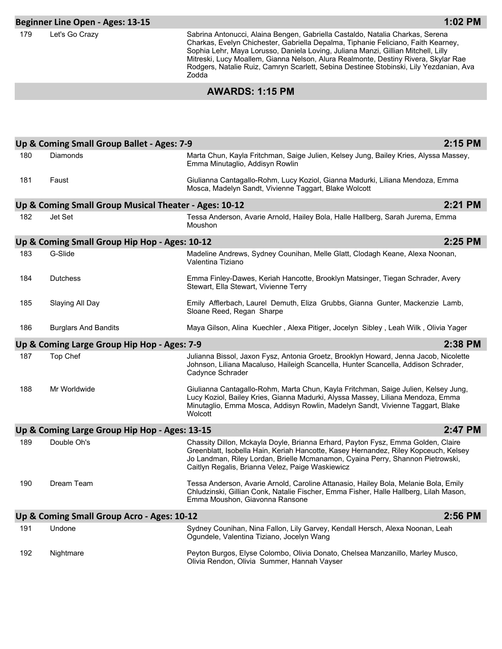#### **Beginner Line Open - Ages: 13-15**

179 Let's Go Crazy Sabrina Antonucci, Alaina Bengen, Gabriella Castaldo, Natalia Charkas, Serena Charkas, Evelyn Chichester, Gabriella Depalma, Tiphanie Feliciano, Faith Kearney, Sophia Lehr, Maya Lorusso, Daniela Loving, Juliana Manzi, Gillian Mitchell, Lilly Mitreski, Lucy Moallem, Gianna Nelson, Alura Realmonte, Destiny Rivera, Skylar Rae Rodgers, Natalie Ruiz, Camryn Scarlett, Sebina Destinee Stobinski, Lily Yezdanian, Ava Zodda

### **AWARDS: 1:15 PM**

|     | Up & Coming Small Group Ballet - Ages: 7-9            |                                                                                                                                                                                                                                                                                                               | 2:15 PM |
|-----|-------------------------------------------------------|---------------------------------------------------------------------------------------------------------------------------------------------------------------------------------------------------------------------------------------------------------------------------------------------------------------|---------|
| 180 | Diamonds                                              | Marta Chun, Kayla Fritchman, Saige Julien, Kelsey Jung, Bailey Kries, Alyssa Massey,<br>Emma Minutaglio, Addisyn Rowlin                                                                                                                                                                                       |         |
| 181 | Faust                                                 | Giulianna Cantagallo-Rohm, Lucy Koziol, Gianna Madurki, Liliana Mendoza, Emma<br>Mosca, Madelyn Sandt, Vivienne Taggart, Blake Wolcott                                                                                                                                                                        |         |
|     | Up & Coming Small Group Musical Theater - Ages: 10-12 |                                                                                                                                                                                                                                                                                                               | 2:21 PM |
| 182 | Jet Set                                               | Tessa Anderson, Avarie Arnold, Hailey Bola, Halle Hallberg, Sarah Jurema, Emma<br>Moushon                                                                                                                                                                                                                     |         |
|     | Up & Coming Small Group Hip Hop - Ages: 10-12         |                                                                                                                                                                                                                                                                                                               | 2:25 PM |
| 183 | G-Slide                                               | Madeline Andrews, Sydney Counihan, Melle Glatt, Clodagh Keane, Alexa Noonan,<br>Valentina Tiziano                                                                                                                                                                                                             |         |
| 184 | <b>Dutchess</b>                                       | Emma Finley-Dawes, Keriah Hancotte, Brooklyn Matsinger, Tiegan Schrader, Avery<br>Stewart, Ella Stewart, Vivienne Terry                                                                                                                                                                                       |         |
| 185 | Slaying All Day                                       | Emily Afflerbach, Laurel Demuth, Eliza Grubbs, Gianna Gunter, Mackenzie Lamb,<br>Sloane Reed, Regan Sharpe                                                                                                                                                                                                    |         |
| 186 | <b>Burglars And Bandits</b>                           | Maya Gilson, Alina Kuechler, Alexa Pitiger, Jocelyn Sibley, Leah Wilk, Olivia Yager                                                                                                                                                                                                                           |         |
|     | Up & Coming Large Group Hip Hop - Ages: 7-9           |                                                                                                                                                                                                                                                                                                               | 2:38 PM |
| 187 | Top Chef                                              | Julianna Bissol, Jaxon Fysz, Antonia Groetz, Brooklyn Howard, Jenna Jacob, Nicolette<br>Johnson, Liliana Macaluso, Haileigh Scancella, Hunter Scancella, Addison Schrader,<br>Cadynce Schrader                                                                                                                |         |
| 188 | Mr Worldwide                                          | Giulianna Cantagallo-Rohm, Marta Chun, Kayla Fritchman, Saige Julien, Kelsey Jung,<br>Lucy Koziol, Bailey Kries, Gianna Madurki, Alyssa Massey, Liliana Mendoza, Emma<br>Minutaglio, Emma Mosca, Addisyn Rowlin, Madelyn Sandt, Vivienne Taggart, Blake<br>Wolcott                                            |         |
|     | Up & Coming Large Group Hip Hop - Ages: 13-15         |                                                                                                                                                                                                                                                                                                               | 2:47 PM |
| 189 | Double Oh's                                           | Chassity Dillon, Mckayla Doyle, Brianna Erhard, Payton Fysz, Emma Golden, Claire<br>Greenblatt, Isobella Hain, Keriah Hancotte, Kasey Hernandez, Riley Kopceuch, Kelsey<br>Jo Landman, Riley Lordan, Brielle Mcmanamon, Cyaina Perry, Shannon Pietrowski,<br>Caitlyn Regalis, Brianna Velez, Paige Waskiewicz |         |
| 190 | Dream Team                                            | Tessa Anderson, Avarie Arnold, Caroline Attanasio, Hailey Bola, Melanie Bola, Emily<br>Chludzinski, Gillian Conk, Natalie Fischer, Emma Fisher, Halle Hallberg, Lilah Mason,<br>Emma Moushon, Giavonna Ransone                                                                                                |         |
|     | Up & Coming Small Group Acro - Ages: 10-12            |                                                                                                                                                                                                                                                                                                               | 2:56 PM |
| 191 | Undone                                                | Sydney Counihan, Nina Fallon, Lily Garvey, Kendall Hersch, Alexa Noonan, Leah<br>Ogundele, Valentina Tiziano, Jocelyn Wang                                                                                                                                                                                    |         |
| 192 | Nightmare                                             | Peyton Burgos, Elyse Colombo, Olivia Donato, Chelsea Manzanillo, Marley Musco,<br>Olivia Rendon, Olivia Summer, Hannah Vayser                                                                                                                                                                                 |         |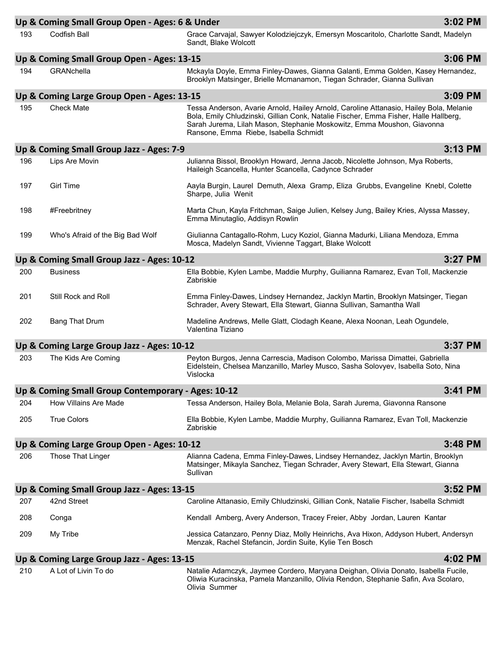|     | Up & Coming Small Group Open - Ages: 6 & Under     |                                                                                                                                                                                                                                                                                                   | 3:02 PM |
|-----|----------------------------------------------------|---------------------------------------------------------------------------------------------------------------------------------------------------------------------------------------------------------------------------------------------------------------------------------------------------|---------|
| 193 | <b>Codfish Ball</b>                                | Grace Carvajal, Sawyer Kolodziejczyk, Emersyn Moscaritolo, Charlotte Sandt, Madelyn<br>Sandt, Blake Wolcott                                                                                                                                                                                       |         |
|     | Up & Coming Small Group Open - Ages: 13-15         |                                                                                                                                                                                                                                                                                                   | 3:06 PM |
| 194 | GRANchella                                         | Mckayla Doyle, Emma Finley-Dawes, Gianna Galanti, Emma Golden, Kasey Hernandez,<br>Brooklyn Matsinger, Brielle Mcmanamon, Tiegan Schrader, Gianna Sullivan                                                                                                                                        |         |
|     | Up & Coming Large Group Open - Ages: 13-15         |                                                                                                                                                                                                                                                                                                   | 3:09 PM |
| 195 | <b>Check Mate</b>                                  | Tessa Anderson, Avarie Arnold, Hailey Arnold, Caroline Attanasio, Hailey Bola, Melanie<br>Bola, Emily Chludzinski, Gillian Conk, Natalie Fischer, Emma Fisher, Halle Hallberg,<br>Sarah Jurema, Lilah Mason, Stephanie Moskowitz, Emma Moushon, Giavonna<br>Ransone, Emma Riebe, Isabella Schmidt |         |
|     | Up & Coming Small Group Jazz - Ages: 7-9           |                                                                                                                                                                                                                                                                                                   | 3:13 PM |
| 196 | Lips Are Movin                                     | Julianna Bissol, Brooklyn Howard, Jenna Jacob, Nicolette Johnson, Mya Roberts,<br>Haileigh Scancella, Hunter Scancella, Cadynce Schrader                                                                                                                                                          |         |
| 197 | <b>Girl Time</b>                                   | Aayla Burgin, Laurel Demuth, Alexa Gramp, Eliza Grubbs, Evangeline Knebl, Colette<br>Sharpe, Julia Wenit                                                                                                                                                                                          |         |
| 198 | #Freebritney                                       | Marta Chun, Kayla Fritchman, Saige Julien, Kelsey Jung, Bailey Kries, Alyssa Massey,<br>Emma Minutaglio, Addisyn Rowlin                                                                                                                                                                           |         |
| 199 | Who's Afraid of the Big Bad Wolf                   | Giulianna Cantagallo-Rohm, Lucy Koziol, Gianna Madurki, Liliana Mendoza, Emma<br>Mosca, Madelyn Sandt, Vivienne Taggart, Blake Wolcott                                                                                                                                                            |         |
|     | Up & Coming Small Group Jazz - Ages: 10-12         |                                                                                                                                                                                                                                                                                                   | 3:27 PM |
| 200 | <b>Business</b>                                    | Ella Bobbie, Kylen Lambe, Maddie Murphy, Guilianna Ramarez, Evan Toll, Mackenzie<br>Zabriskie                                                                                                                                                                                                     |         |
| 201 | Still Rock and Roll                                | Emma Finley-Dawes, Lindsey Hernandez, Jacklyn Martin, Brooklyn Matsinger, Tiegan<br>Schrader, Avery Stewart, Ella Stewart, Gianna Sullivan, Samantha Wall                                                                                                                                         |         |
| 202 | <b>Bang That Drum</b>                              | Madeline Andrews, Melle Glatt, Clodagh Keane, Alexa Noonan, Leah Ogundele,<br>Valentina Tiziano                                                                                                                                                                                                   |         |
|     | Up & Coming Large Group Jazz - Ages: 10-12         |                                                                                                                                                                                                                                                                                                   | 3:37 PM |
| 203 | The Kids Are Coming                                | Peyton Burgos, Jenna Carrescia, Madison Colombo, Marissa Dimattei, Gabriella<br>Eidelstein, Chelsea Manzanillo, Marley Musco, Sasha Solovyev, Isabella Soto, Nina<br>Vislocka                                                                                                                     |         |
|     | Up & Coming Small Group Contemporary - Ages: 10-12 |                                                                                                                                                                                                                                                                                                   | 3:41 PM |
| 204 | <b>How Villains Are Made</b>                       | Tessa Anderson, Hailey Bola, Melanie Bola, Sarah Jurema, Giavonna Ransone                                                                                                                                                                                                                         |         |
| 205 | <b>True Colors</b>                                 | Ella Bobbie, Kylen Lambe, Maddie Murphy, Guilianna Ramarez, Evan Toll, Mackenzie<br>Zabriskie                                                                                                                                                                                                     |         |
|     | Up & Coming Large Group Open - Ages: 10-12         |                                                                                                                                                                                                                                                                                                   | 3:48 PM |
| 206 | Those That Linger                                  | Alianna Cadena, Emma Finley-Dawes, Lindsey Hernandez, Jacklyn Martin, Brooklyn<br>Matsinger, Mikayla Sanchez, Tiegan Schrader, Avery Stewart, Ella Stewart, Gianna<br>Sullivan                                                                                                                    |         |
|     | Up & Coming Small Group Jazz - Ages: 13-15         |                                                                                                                                                                                                                                                                                                   | 3:52 PM |
| 207 | 42nd Street                                        | Caroline Attanasio, Emily Chludzinski, Gillian Conk, Natalie Fischer, Isabella Schmidt                                                                                                                                                                                                            |         |
| 208 | Conga                                              | Kendall Amberg, Avery Anderson, Tracey Freier, Abby Jordan, Lauren Kantar                                                                                                                                                                                                                         |         |
| 209 | My Tribe                                           | Jessica Catanzaro, Penny Diaz, Molly Heinrichs, Ava Hixon, Addyson Hubert, Andersyn<br>Menzak, Rachel Stefancin, Jordin Suite, Kylie Ten Bosch                                                                                                                                                    |         |
|     | Up & Coming Large Group Jazz - Ages: 13-15         |                                                                                                                                                                                                                                                                                                   | 4:02 PM |
| 210 | A Lot of Livin To do                               | Natalie Adamczyk, Jaymee Cordero, Maryana Deighan, Olivia Donato, Isabella Fucile,<br>Oliwia Kuracinska, Pamela Manzanillo, Olivia Rendon, Stephanie Safin, Ava Scolaro,<br>Olivia Summer                                                                                                         |         |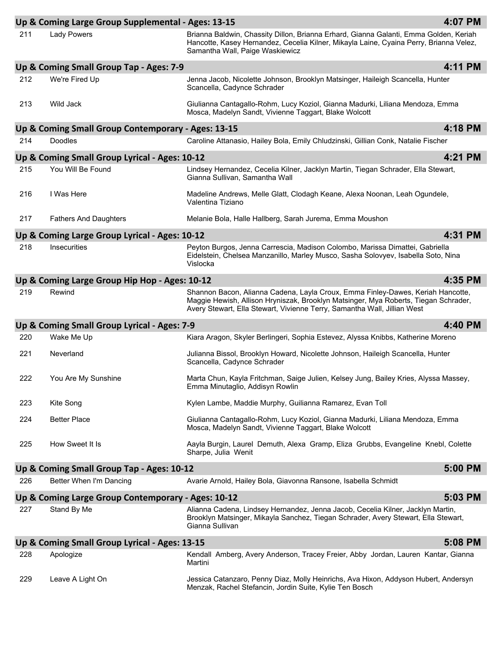|     | Up & Coming Large Group Supplemental - Ages: 13-15 |                                                                                                                                                                                                                                                    | 4:07 PM |
|-----|----------------------------------------------------|----------------------------------------------------------------------------------------------------------------------------------------------------------------------------------------------------------------------------------------------------|---------|
| 211 | <b>Lady Powers</b>                                 | Brianna Baldwin, Chassity Dillon, Brianna Erhard, Gianna Galanti, Emma Golden, Keriah<br>Hancotte, Kasey Hernandez, Cecelia Kilner, Mikayla Laine, Cyaina Perry, Brianna Velez,<br>Samantha Wall, Paige Waskiewicz                                 |         |
|     | Up & Coming Small Group Tap - Ages: 7-9            |                                                                                                                                                                                                                                                    | 4:11 PM |
| 212 | We're Fired Up                                     | Jenna Jacob, Nicolette Johnson, Brooklyn Matsinger, Haileigh Scancella, Hunter<br>Scancella, Cadynce Schrader                                                                                                                                      |         |
| 213 | Wild Jack                                          | Giulianna Cantagallo-Rohm, Lucy Koziol, Gianna Madurki, Liliana Mendoza, Emma<br>Mosca, Madelyn Sandt, Vivienne Taggart, Blake Wolcott                                                                                                             |         |
|     | Up & Coming Small Group Contemporary - Ages: 13-15 |                                                                                                                                                                                                                                                    | 4:18 PM |
| 214 | Doodles                                            | Caroline Attanasio, Hailey Bola, Emily Chludzinski, Gillian Conk, Natalie Fischer                                                                                                                                                                  |         |
|     | Up & Coming Small Group Lyrical - Ages: 10-12      |                                                                                                                                                                                                                                                    | 4:21 PM |
| 215 | You Will Be Found                                  | Lindsey Hernandez, Cecelia Kilner, Jacklyn Martin, Tiegan Schrader, Ella Stewart,<br>Gianna Sullivan, Samantha Wall                                                                                                                                |         |
| 216 | I Was Here                                         | Madeline Andrews, Melle Glatt, Clodagh Keane, Alexa Noonan, Leah Ogundele,<br>Valentina Tiziano                                                                                                                                                    |         |
| 217 | <b>Fathers And Daughters</b>                       | Melanie Bola, Halle Hallberg, Sarah Jurema, Emma Moushon                                                                                                                                                                                           |         |
|     | Up & Coming Large Group Lyrical - Ages: 10-12      |                                                                                                                                                                                                                                                    | 4:31 PM |
| 218 | <b>Insecurities</b>                                | Peyton Burgos, Jenna Carrescia, Madison Colombo, Marissa Dimattei, Gabriella<br>Eidelstein, Chelsea Manzanillo, Marley Musco, Sasha Solovyev, Isabella Soto, Nina<br>Vislocka                                                                      |         |
|     | Up & Coming Large Group Hip Hop - Ages: 10-12      |                                                                                                                                                                                                                                                    | 4:35 PM |
| 219 | Rewind                                             | Shannon Bacon, Alianna Cadena, Layla Croux, Emma Finley-Dawes, Keriah Hancotte,<br>Maggie Hewish, Allison Hryniszak, Brooklyn Matsinger, Mya Roberts, Tiegan Schrader,<br>Avery Stewart, Ella Stewart, Vivienne Terry, Samantha Wall, Jillian West |         |
|     |                                                    |                                                                                                                                                                                                                                                    |         |
|     | Up & Coming Small Group Lyrical - Ages: 7-9        |                                                                                                                                                                                                                                                    | 4:40 PM |
| 220 | Wake Me Up                                         | Kiara Aragon, Skyler Berlingeri, Sophia Estevez, Alyssa Knibbs, Katherine Moreno                                                                                                                                                                   |         |
| 221 | Neverland                                          | Julianna Bissol, Brooklyn Howard, Nicolette Johnson, Haileigh Scancella, Hunter<br>Scancella, Cadynce Schrader                                                                                                                                     |         |
| 222 | You Are My Sunshine                                | Marta Chun, Kayla Fritchman, Saige Julien, Kelsey Jung, Bailey Kries, Alyssa Massey,<br>Emma Minutaglio, Addisyn Rowlin                                                                                                                            |         |
| 223 | Kite Song                                          | Kylen Lambe, Maddie Murphy, Guilianna Ramarez, Evan Toll                                                                                                                                                                                           |         |
| 224 | <b>Better Place</b>                                | Giulianna Cantagallo-Rohm, Lucy Koziol, Gianna Madurki, Liliana Mendoza, Emma<br>Mosca, Madelyn Sandt, Vivienne Taggart, Blake Wolcott                                                                                                             |         |
| 225 | How Sweet It Is                                    | Aayla Burgin, Laurel Demuth, Alexa Gramp, Eliza Grubbs, Evangeline Knebl, Colette<br>Sharpe, Julia Wenit                                                                                                                                           |         |
|     | Up & Coming Small Group Tap - Ages: 10-12          |                                                                                                                                                                                                                                                    | 5:00 PM |
| 226 | Better When I'm Dancing                            | Avarie Arnold, Hailey Bola, Giavonna Ransone, Isabella Schmidt                                                                                                                                                                                     |         |
|     | Up & Coming Large Group Contemporary - Ages: 10-12 |                                                                                                                                                                                                                                                    | 5:03 PM |
| 227 | Stand By Me                                        | Alianna Cadena, Lindsey Hernandez, Jenna Jacob, Cecelia Kilner, Jacklyn Martin,<br>Brooklyn Matsinger, Mikayla Sanchez, Tiegan Schrader, Avery Stewart, Ella Stewart,<br>Gianna Sullivan                                                           |         |
|     | Up & Coming Small Group Lyrical - Ages: 13-15      |                                                                                                                                                                                                                                                    | 5:08 PM |
| 228 | Apologize                                          | Kendall Amberg, Avery Anderson, Tracey Freier, Abby Jordan, Lauren Kantar, Gianna<br>Martini                                                                                                                                                       |         |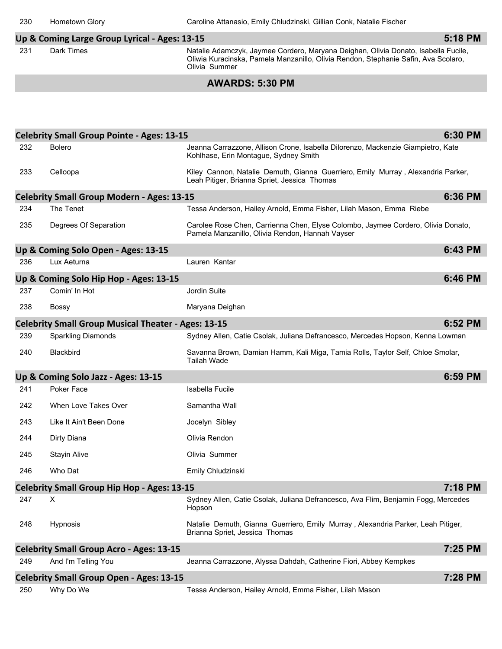### **Up & Coming Large Group Lyrical - Ages: 13-15**

231 Dark Times **Natalie Adamczyk, Jaymee Cordero, Maryana Deighan**, Olivia Donato, Isabella Fucile, Oliwia Kuracinska, Pamela Manzanillo, Olivia Rendon, Stephanie Safin, Ava Scolaro, Olivia Summer

#### **AWARDS: 5:30 PM**

|     | <b>Celebrity Small Group Pointe - Ages: 13-15</b>          |                                                                                                                                     | 6:30 PM |
|-----|------------------------------------------------------------|-------------------------------------------------------------------------------------------------------------------------------------|---------|
| 232 | <b>Bolero</b>                                              | Jeanna Carrazzone, Allison Crone, Isabella Dilorenzo, Mackenzie Giampietro, Kate<br>Kohlhase, Erin Montague, Sydney Smith           |         |
| 233 | Celloopa                                                   | Kiley Cannon, Natalie Demuth, Gianna Guerriero, Emily Murray, Alexandria Parker,<br>Leah Pitiger, Brianna Spriet, Jessica Thomas    |         |
|     | <b>Celebrity Small Group Modern - Ages: 13-15</b>          |                                                                                                                                     | 6:36 PM |
| 234 | The Tenet                                                  | Tessa Anderson, Hailey Arnold, Emma Fisher, Lilah Mason, Emma Riebe                                                                 |         |
| 235 | Degrees Of Separation                                      | Carolee Rose Chen, Carrienna Chen, Elyse Colombo, Jaymee Cordero, Olivia Donato,<br>Pamela Manzanillo, Olivia Rendon, Hannah Vayser |         |
|     | Up & Coming Solo Open - Ages: 13-15                        |                                                                                                                                     | 6:43 PM |
| 236 | Lux Aeturna                                                | Lauren Kantar                                                                                                                       |         |
|     | Up & Coming Solo Hip Hop - Ages: 13-15                     |                                                                                                                                     | 6:46 PM |
| 237 | Comin' In Hot                                              | Jordin Suite                                                                                                                        |         |
| 238 | <b>Bossy</b>                                               | Maryana Deighan                                                                                                                     |         |
|     | <b>Celebrity Small Group Musical Theater - Ages: 13-15</b> |                                                                                                                                     | 6:52 PM |
| 239 | <b>Sparkling Diamonds</b>                                  | Sydney Allen, Catie Csolak, Juliana Defrancesco, Mercedes Hopson, Kenna Lowman                                                      |         |
| 240 | Blackbird                                                  | Savanna Brown, Damian Hamm, Kali Miga, Tamia Rolls, Taylor Self, Chloe Smolar,<br>Tailah Wade                                       |         |
|     | Up & Coming Solo Jazz - Ages: 13-15                        |                                                                                                                                     | 6:59 PM |
| 241 | Poker Face                                                 | Isabella Fucile                                                                                                                     |         |
| 242 | When Love Takes Over                                       | Samantha Wall                                                                                                                       |         |
| 243 | Like It Ain't Been Done                                    | Jocelyn Sibley                                                                                                                      |         |
| 244 | Dirty Diana                                                | Olivia Rendon                                                                                                                       |         |
| 245 | <b>Stayin Alive</b>                                        | Olivia Summer                                                                                                                       |         |
| 246 | Who Dat                                                    | Emily Chludzinski                                                                                                                   |         |
|     | <b>Celebrity Small Group Hip Hop - Ages: 13-15</b>         |                                                                                                                                     | 7:18 PM |
| 247 | X                                                          | Sydney Allen, Catie Csolak, Juliana Defrancesco, Ava Flim, Benjamin Fogg, Mercedes<br>Hopson                                        |         |
| 248 | Hypnosis                                                   | Natalie Demuth, Gianna Guerriero, Emily Murray, Alexandria Parker, Leah Pitiger,<br>Brianna Spriet, Jessica Thomas                  |         |
|     | <b>Celebrity Small Group Acro - Ages: 13-15</b>            |                                                                                                                                     | 7:25 PM |
| 249 | And I'm Telling You                                        | Jeanna Carrazzone, Alyssa Dahdah, Catherine Fiori, Abbey Kempkes                                                                    |         |
|     | <b>Celebrity Small Group Open - Ages: 13-15</b>            |                                                                                                                                     | 7:28 PM |
| 250 | Why Do We                                                  | Tessa Anderson, Hailey Arnold, Emma Fisher, Lilah Mason                                                                             |         |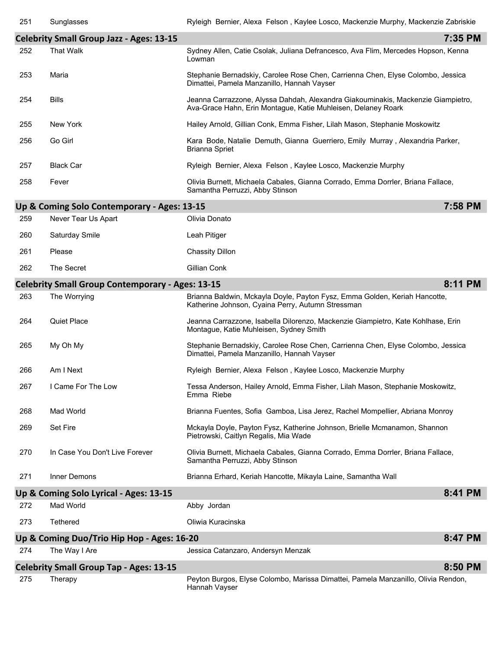**8:11 PM**

|     | <b>Celebrity Small Group Jazz - Ages: 13-15</b> |                                                                                                                                                   | 7:35 PM |
|-----|-------------------------------------------------|---------------------------------------------------------------------------------------------------------------------------------------------------|---------|
| 252 | <b>That Walk</b>                                | Sydney Allen, Catie Csolak, Juliana Defrancesco, Ava Flim, Mercedes Hopson, Kenna<br>Lowman                                                       |         |
| 253 | Maria                                           | Stephanie Bernadskiy, Carolee Rose Chen, Carrienna Chen, Elyse Colombo, Jessica<br>Dimattei, Pamela Manzanillo, Hannah Vayser                     |         |
| 254 | <b>Bills</b>                                    | Jeanna Carrazzone, Alyssa Dahdah, Alexandra Giakouminakis, Mackenzie Giampietro,<br>Ava-Grace Hahn, Erin Montague, Katie Muhleisen, Delaney Roark |         |
| 255 | New York                                        | Hailey Arnold, Gillian Conk, Emma Fisher, Lilah Mason, Stephanie Moskowitz                                                                        |         |
| 256 | Go Girl                                         | Kara Bode, Natalie Demuth, Gianna Guerriero, Emily Murray, Alexandria Parker,<br>Brianna Spriet                                                   |         |
| 257 | <b>Black Car</b>                                | Ryleigh Bernier, Alexa Felson, Kaylee Losco, Mackenzie Murphy                                                                                     |         |
| 258 | Fever                                           | Olivia Burnett, Michaela Cabales, Gianna Corrado, Emma Dorrler, Briana Fallace,<br>Samantha Perruzzi, Abby Stinson                                |         |
|     | Up & Coming Solo Contemporary - Ages: 13-15     |                                                                                                                                                   | 7:58 PM |
| 259 | Never Tear Us Apart                             | Olivia Donato                                                                                                                                     |         |

| 260 | Saturday Smile | Leah Pitiger           |
|-----|----------------|------------------------|
| 261 | Please         | <b>Chassity Dillon</b> |

| -262 | The Secret | Gillian Conk |
|------|------------|--------------|

|     | <b>Celebrity Small Group Contemporary - Ages: 13-15</b> |                                                                                                                                 | 8:11 PM |
|-----|---------------------------------------------------------|---------------------------------------------------------------------------------------------------------------------------------|---------|
| 263 | The Worrying                                            | Brianna Baldwin, Mckayla Doyle, Payton Fysz, Emma Golden, Keriah Hancotte,<br>Katherine Johnson, Cyaina Perry, Autumn Stressman |         |
| 264 | <b>Quiet Place</b>                                      | Jeanna Carrazzone, Isabella Dilorenzo, Mackenzie Giampietro, Kate Kohlhase, Erin<br>Montague, Katie Muhleisen, Sydney Smith     |         |
| 265 | My Oh My                                                | Stephanie Bernadskiy, Carolee Rose Chen, Carrienna Chen, Elyse Colombo, Jessica<br>Dimattei, Pamela Manzanillo, Hannah Vayser   |         |
| 266 | Am I Next                                               | Ryleigh Bernier, Alexa Felson, Kaylee Losco, Mackenzie Murphy                                                                   |         |
| 267 | I Came For The Low                                      | Tessa Anderson, Hailey Arnold, Emma Fisher, Lilah Mason, Stephanie Moskowitz,<br>Emma Riebe                                     |         |
| 268 | Mad World                                               | Brianna Fuentes, Sofia Gamboa, Lisa Jerez, Rachel Mompellier, Abriana Monroy                                                    |         |
| 269 | Set Fire                                                | Mckayla Doyle, Payton Fysz, Katherine Johnson, Brielle Mcmanamon, Shannon<br>Pietrowski, Caitlyn Regalis, Mia Wade              |         |
| 270 | In Case You Don't Live Forever                          | Olivia Burnett, Michaela Cabales, Gianna Corrado, Emma Dorrler, Briana Fallace,<br>Samantha Perruzzi, Abby Stinson              |         |
| 271 | Inner Demons                                            | Brianna Erhard, Keriah Hancotte, Mikayla Laine, Samantha Wall                                                                   |         |
|     | Up & Coming Solo Lyrical - Ages: 13-15                  |                                                                                                                                 | 8:41 PM |
| 272 | Mad World                                               | Abby Jordan                                                                                                                     |         |
| 273 | <b>Tethered</b>                                         | Oliwia Kuracinska                                                                                                               |         |
|     | Up & Coming Duo/Trio Hip Hop - Ages: 16-20              |                                                                                                                                 | 8:47 PM |
| 274 | The Way I Are                                           | Jessica Catanzaro, Andersyn Menzak                                                                                              |         |
|     | <b>Celebrity Small Group Tap - Ages: 13-15</b>          |                                                                                                                                 | 8:50 PM |

# **Celebrity Small Group Tap - Ages: 13-15**

275 Therapy Peyton Burgos, Elyse Colombo, Marissa Dimattei, Pamela Manzanillo, Olivia Rendon, Hannah Vayser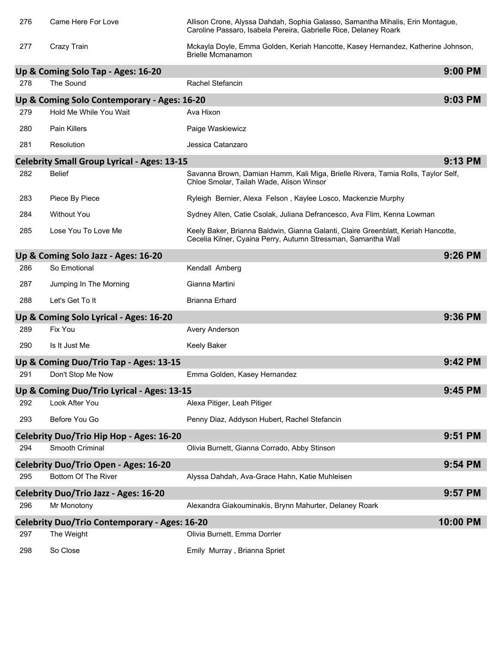| 276 | Came Here For Love                                   | Allison Crone, Alyssa Dahdah, Sophia Galasso, Samantha Mihalis, Erin Montague,<br>Caroline Passaro, Isabela Pereira, Gabrielle Rice, Delaney Roark |          |
|-----|------------------------------------------------------|----------------------------------------------------------------------------------------------------------------------------------------------------|----------|
| 277 | Crazy Train                                          | Mckayla Doyle, Emma Golden, Keriah Hancotte, Kasey Hernandez, Katherine Johnson,<br><b>Brielle Mcmanamon</b>                                       |          |
|     | Up & Coming Solo Tap - Ages: 16-20                   |                                                                                                                                                    | 9:00 PM  |
| 278 | The Sound                                            | Rachel Stefancin                                                                                                                                   |          |
|     | Up & Coming Solo Contemporary - Ages: 16-20          |                                                                                                                                                    | 9:03 PM  |
| 279 | Hold Me While You Wait                               | Ava Hixon                                                                                                                                          |          |
| 280 | <b>Pain Killers</b>                                  | Paige Waskiewicz                                                                                                                                   |          |
| 281 | Resolution                                           | Jessica Catanzaro                                                                                                                                  |          |
|     | <b>Celebrity Small Group Lyrical - Ages: 13-15</b>   |                                                                                                                                                    | 9:13 PM  |
| 282 | <b>Belief</b>                                        | Savanna Brown, Damian Hamm, Kali Miga, Brielle Rivera, Tamia Rolls, Taylor Self,<br>Chloe Smolar, Tailah Wade, Alison Winsor                       |          |
| 283 | Piece By Piece                                       | Ryleigh Bernier, Alexa Felson, Kaylee Losco, Mackenzie Murphy                                                                                      |          |
| 284 | <b>Without You</b>                                   | Sydney Allen, Catie Csolak, Juliana Defrancesco, Ava Flim, Kenna Lowman                                                                            |          |
| 285 | Lose You To Love Me                                  | Keely Baker, Brianna Baldwin, Gianna Galanti, Claire Greenblatt, Keriah Hancotte,<br>Cecelia Kilner, Cyaina Perry, Autumn Stressman, Samantha Wall |          |
|     | Up & Coming Solo Jazz - Ages: 16-20                  |                                                                                                                                                    | 9:26 PM  |
| 286 | So Emotional                                         | Kendall Amberg                                                                                                                                     |          |
| 287 | Jumping In The Morning                               | Gianna Martini                                                                                                                                     |          |
| 288 | Let's Get To It                                      | <b>Brianna Erhard</b>                                                                                                                              |          |
|     | Up & Coming Solo Lyrical - Ages: 16-20               |                                                                                                                                                    | 9:36 PM  |
| 289 | Fix You                                              | Avery Anderson                                                                                                                                     |          |
| 290 | Is It Just Me                                        | <b>Keely Baker</b>                                                                                                                                 |          |
|     | Up & Coming Duo/Trio Tap - Ages: 13-15               |                                                                                                                                                    | 9:42 PM  |
| 291 | Don't Stop Me Now                                    | Emma Golden, Kasey Hernandez                                                                                                                       |          |
|     | Up & Coming Duo/Trio Lyrical - Ages: 13-15           |                                                                                                                                                    | 9:45 PM  |
| 292 | Look After You                                       | Alexa Pitiger, Leah Pitiger                                                                                                                        |          |
| 293 | Before You Go                                        | Penny Diaz, Addyson Hubert, Rachel Stefancin                                                                                                       |          |
|     | Celebrity Duo/Trio Hip Hop - Ages: 16-20             |                                                                                                                                                    | 9:51 PM  |
| 294 | Smooth Criminal                                      | Olivia Burnett, Gianna Corrado, Abby Stinson                                                                                                       |          |
|     | <b>Celebrity Duo/Trio Open - Ages: 16-20</b>         |                                                                                                                                                    | 9:54 PM  |
| 295 | Bottom Of The River                                  | Alyssa Dahdah, Ava-Grace Hahn, Katie Muhleisen                                                                                                     |          |
|     | <b>Celebrity Duo/Trio Jazz - Ages: 16-20</b>         |                                                                                                                                                    | 9:57 PM  |
| 296 | Mr Monotony                                          | Alexandra Giakouminakis, Brynn Mahurter, Delaney Roark                                                                                             |          |
|     | <b>Celebrity Duo/Trio Contemporary - Ages: 16-20</b> |                                                                                                                                                    | 10:00 PM |
| 297 | The Weight                                           | Olivia Burnett, Emma Dorrler                                                                                                                       |          |
| 298 | So Close                                             | Emily Murray, Brianna Spriet                                                                                                                       |          |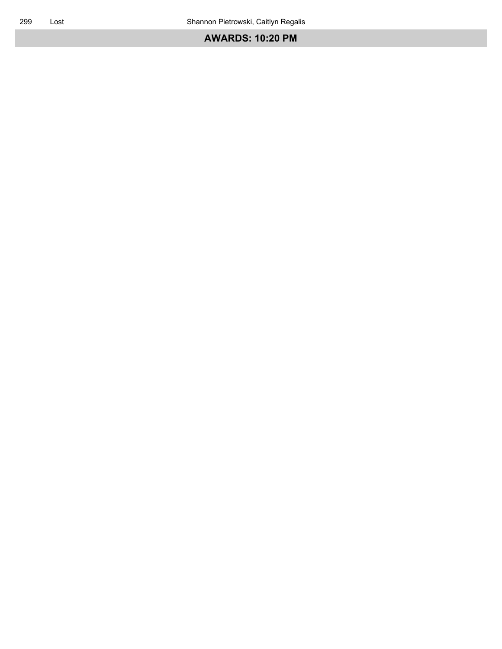## **AWARDS: 10:20 PM**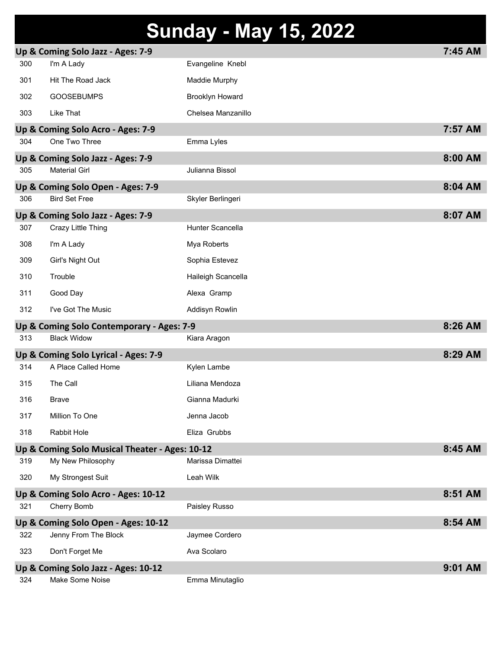# **Sunday - May 15, 2022**

|     | Up & Coming Solo Jazz - Ages: 7-9              |                         | 7:45 AM |
|-----|------------------------------------------------|-------------------------|---------|
| 300 | I'm A Lady                                     | Evangeline Knebl        |         |
| 301 | Hit The Road Jack                              | Maddie Murphy           |         |
| 302 | <b>GOOSEBUMPS</b>                              | <b>Brooklyn Howard</b>  |         |
| 303 | Like That                                      | Chelsea Manzanillo      |         |
|     | Up & Coming Solo Acro - Ages: 7-9              |                         | 7:57 AM |
| 304 | One Two Three                                  | Emma Lyles              |         |
|     | Up & Coming Solo Jazz - Ages: 7-9              |                         | 8:00 AM |
| 305 | <b>Material Girl</b>                           | Julianna Bissol         |         |
|     | Up & Coming Solo Open - Ages: 7-9              |                         | 8:04 AM |
| 306 | <b>Bird Set Free</b>                           | Skyler Berlingeri       |         |
|     | Up & Coming Solo Jazz - Ages: 7-9              |                         | 8:07 AM |
| 307 | Crazy Little Thing                             | <b>Hunter Scancella</b> |         |
| 308 | I'm A Lady                                     | Mya Roberts             |         |
| 309 | Girl's Night Out                               | Sophia Estevez          |         |
| 310 | Trouble                                        | Haileigh Scancella      |         |
| 311 | Good Day                                       | Alexa Gramp             |         |
| 312 | I've Got The Music                             | Addisyn Rowlin          |         |
|     | Up & Coming Solo Contemporary - Ages: 7-9      |                         | 8:26 AM |
| 313 | <b>Black Widow</b>                             | Kiara Aragon            |         |
|     | Up & Coming Solo Lyrical - Ages: 7-9           |                         | 8:29 AM |
| 314 | A Place Called Home                            | Kylen Lambe             |         |
| 315 | The Call                                       | Liliana Mendoza         |         |
| 316 | <b>Brave</b>                                   | Gianna Madurki          |         |
| 317 | Million To One                                 | Jenna Jacob             |         |
| 318 | Rabbit Hole                                    | Eliza Grubbs            |         |
|     | Up & Coming Solo Musical Theater - Ages: 10-12 |                         | 8:45 AM |
| 319 | My New Philosophy                              | Marissa Dimattei        |         |
| 320 | My Strongest Suit                              | Leah Wilk               |         |
|     | Up & Coming Solo Acro - Ages: 10-12            |                         | 8:51 AM |
| 321 | Cherry Bomb                                    | Paisley Russo           |         |
|     | Up & Coming Solo Open - Ages: 10-12            |                         | 8:54 AM |
| 322 | Jenny From The Block                           | Jaymee Cordero          |         |
| 323 | Don't Forget Me                                | Ava Scolaro             |         |
|     | Up & Coming Solo Jazz - Ages: 10-12            |                         | 9:01 AM |
| 324 | Make Some Noise                                | Emma Minutaglio         |         |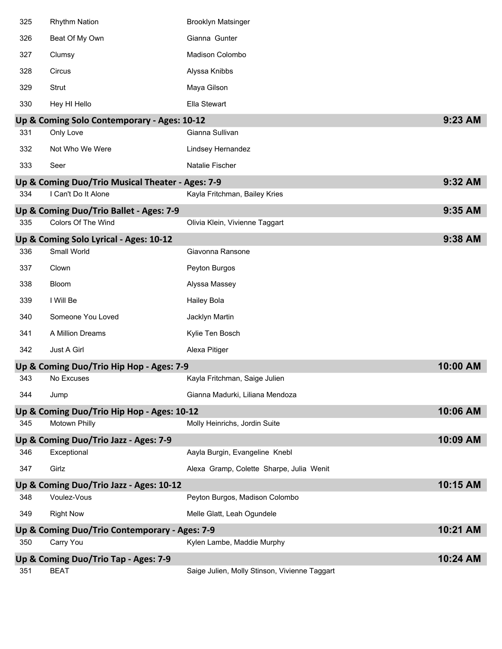| 325 | <b>Rhythm Nation</b>                             | <b>Brooklyn Matsinger</b>                     |          |
|-----|--------------------------------------------------|-----------------------------------------------|----------|
| 326 | Beat Of My Own                                   | Gianna Gunter                                 |          |
| 327 | Clumsy                                           | Madison Colombo                               |          |
| 328 | Circus                                           | Alyssa Knibbs                                 |          |
| 329 | Strut                                            | Maya Gilson                                   |          |
| 330 | Hey HI Hello                                     | Ella Stewart                                  |          |
|     | Up & Coming Solo Contemporary - Ages: 10-12      |                                               | 9:23 AM  |
| 331 | Only Love                                        | Gianna Sullivan                               |          |
| 332 | Not Who We Were                                  | Lindsey Hernandez                             |          |
| 333 | Seer                                             | Natalie Fischer                               |          |
|     | Up & Coming Duo/Trio Musical Theater - Ages: 7-9 |                                               | 9:32 AM  |
| 334 | I Can't Do It Alone                              | Kayla Fritchman, Bailey Kries                 |          |
|     | Up & Coming Duo/Trio Ballet - Ages: 7-9          |                                               | 9:35 AM  |
| 335 | Colors Of The Wind                               | Olivia Klein, Vivienne Taggart                |          |
|     | Up & Coming Solo Lyrical - Ages: 10-12           |                                               | 9:38 AM  |
| 336 | Small World                                      | Giavonna Ransone                              |          |
| 337 | Clown                                            | Peyton Burgos                                 |          |
| 338 | Bloom                                            | Alyssa Massey                                 |          |
| 339 | I Will Be                                        | <b>Hailey Bola</b>                            |          |
| 340 | Someone You Loved                                | Jacklyn Martin                                |          |
| 341 | A Million Dreams                                 | Kylie Ten Bosch                               |          |
| 342 | Just A Girl                                      | Alexa Pitiger                                 |          |
|     | Up & Coming Duo/Trio Hip Hop - Ages: 7-9         |                                               | 10:00 AM |
| 343 | No Excuses                                       | Kayla Fritchman, Saige Julien                 |          |
| 344 | Jump                                             | Gianna Madurki, Liliana Mendoza               |          |
|     | Up & Coming Duo/Trio Hip Hop - Ages: 10-12       |                                               | 10:06 AM |
| 345 | Motown Philly                                    | Molly Heinrichs, Jordin Suite                 |          |
|     | Up & Coming Duo/Trio Jazz - Ages: 7-9            |                                               | 10:09 AM |
| 346 | Exceptional                                      | Aayla Burgin, Evangeline Knebl                |          |
| 347 | Girlz                                            | Alexa Gramp, Colette Sharpe, Julia Wenit      |          |
|     | Up & Coming Duo/Trio Jazz - Ages: 10-12          |                                               | 10:15 AM |
| 348 | Voulez-Vous                                      | Peyton Burgos, Madison Colombo                |          |
| 349 | <b>Right Now</b>                                 | Melle Glatt, Leah Ogundele                    |          |
|     | Up & Coming Duo/Trio Contemporary - Ages: 7-9    |                                               | 10:21 AM |
| 350 | Carry You                                        | Kylen Lambe, Maddie Murphy                    |          |
|     | Up & Coming Duo/Trio Tap - Ages: 7-9             |                                               | 10:24 AM |
| 351 | <b>BEAT</b>                                      | Saige Julien, Molly Stinson, Vivienne Taggart |          |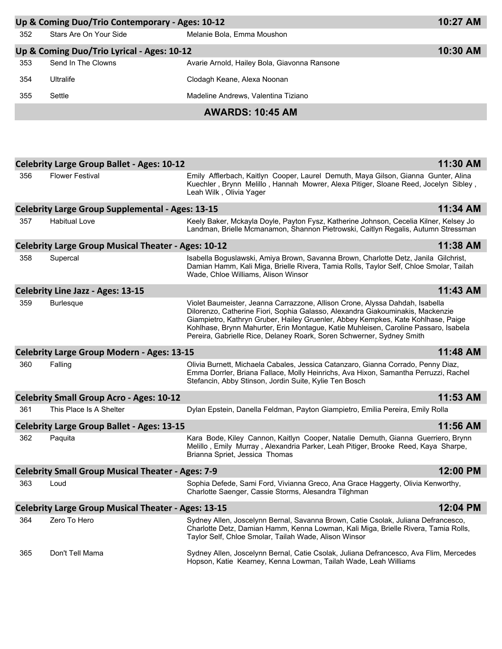| Up & Coming Duo/Trio Contemporary - Ages: 10-12 |                        |                                              | 10:27 AM |
|-------------------------------------------------|------------------------|----------------------------------------------|----------|
| 352                                             | Stars Are On Your Side | Melanie Bola, Emma Moushon                   |          |
| Up & Coming Duo/Trio Lyrical - Ages: 10-12      |                        |                                              | 10:30 AM |
| 353                                             | Send In The Clowns     | Avarie Arnold, Hailey Bola, Giavonna Ransone |          |
| 354                                             | <b>Ultralife</b>       | Clodagh Keane, Alexa Noonan                  |          |
| 355                                             | Settle                 | Madeline Andrews, Valentina Tiziano          |          |

# **AWARDS: 10:45 AM**

|     | <b>Celebrity Large Group Ballet - Ages: 10-12</b>          |                                                                                                                                                                                                                                                                                                                                                                                                                    | 11:30 AM |
|-----|------------------------------------------------------------|--------------------------------------------------------------------------------------------------------------------------------------------------------------------------------------------------------------------------------------------------------------------------------------------------------------------------------------------------------------------------------------------------------------------|----------|
| 356 | <b>Flower Festival</b>                                     | Emily Afflerbach, Kaitlyn Cooper, Laurel Demuth, Maya Gilson, Gianna Gunter, Alina<br>Kuechler, Brynn Melillo, Hannah Mowrer, Alexa Pitiger, Sloane Reed, Jocelyn Sibley,<br>Leah Wilk, Olivia Yager                                                                                                                                                                                                               |          |
|     | <b>Celebrity Large Group Supplemental - Ages: 13-15</b>    |                                                                                                                                                                                                                                                                                                                                                                                                                    | 11:34 AM |
| 357 | <b>Habitual Love</b>                                       | Keely Baker, Mckayla Doyle, Payton Fysz, Katherine Johnson, Cecelia Kilner, Kelsey Jo<br>Landman, Brielle Mcmanamon, Shannon Pietrowski, Caitlyn Regalis, Autumn Stressman                                                                                                                                                                                                                                         |          |
|     | <b>Celebrity Large Group Musical Theater - Ages: 10-12</b> |                                                                                                                                                                                                                                                                                                                                                                                                                    | 11:38 AM |
| 358 | Supercal                                                   | Isabella Boguslawski, Amiya Brown, Savanna Brown, Charlotte Detz, Janila Gilchrist,<br>Damian Hamm, Kali Miga, Brielle Rivera, Tamia Rolls, Taylor Self, Chloe Smolar, Tailah<br>Wade, Chloe Williams, Alison Winsor                                                                                                                                                                                               |          |
|     | <b>Celebrity Line Jazz - Ages: 13-15</b>                   |                                                                                                                                                                                                                                                                                                                                                                                                                    | 11:43 AM |
| 359 | <b>Burlesque</b>                                           | Violet Baumeister, Jeanna Carrazzone, Allison Crone, Alyssa Dahdah, Isabella<br>Dilorenzo, Catherine Fiori, Sophia Galasso, Alexandra Giakouminakis, Mackenzie<br>Giampietro, Kathryn Gruber, Hailey Gruenler, Abbey Kempkes, Kate Kohlhase, Paige<br>Kohlhase, Brynn Mahurter, Erin Montague, Katie Muhleisen, Caroline Passaro, Isabela<br>Pereira, Gabrielle Rice, Delaney Roark, Soren Schwerner, Sydney Smith |          |
|     | <b>Celebrity Large Group Modern - Ages: 13-15</b>          |                                                                                                                                                                                                                                                                                                                                                                                                                    | 11:48 AM |
| 360 | Falling                                                    | Olivia Burnett, Michaela Cabales, Jessica Catanzaro, Gianna Corrado, Penny Diaz,<br>Emma Dorrler, Briana Fallace, Molly Heinrichs, Ava Hixon, Samantha Perruzzi, Rachel<br>Stefancin, Abby Stinson, Jordin Suite, Kylie Ten Bosch                                                                                                                                                                                  |          |
|     | <b>Celebrity Small Group Acro - Ages: 10-12</b>            |                                                                                                                                                                                                                                                                                                                                                                                                                    | 11:53 AM |
| 361 | This Place Is A Shelter                                    | Dylan Epstein, Danella Feldman, Payton Giampietro, Emilia Pereira, Emily Rolla                                                                                                                                                                                                                                                                                                                                     |          |
|     | <b>Celebrity Large Group Ballet - Ages: 13-15</b>          |                                                                                                                                                                                                                                                                                                                                                                                                                    | 11:56 AM |
| 362 | Paquita                                                    | Kara Bode, Kiley Cannon, Kaitlyn Cooper, Natalie Demuth, Gianna Guerriero, Brynn<br>Melillo, Emily Murray, Alexandria Parker, Leah Pitiger, Brooke Reed, Kaya Sharpe,<br>Brianna Spriet, Jessica Thomas                                                                                                                                                                                                            |          |
|     | <b>Celebrity Small Group Musical Theater - Ages: 7-9</b>   |                                                                                                                                                                                                                                                                                                                                                                                                                    | 12:00 PM |
| 363 | Loud                                                       | Sophia Defede, Sami Ford, Vivianna Greco, Ana Grace Haggerty, Olivia Kenworthy,<br>Charlotte Saenger, Cassie Storms, Alesandra Tilghman                                                                                                                                                                                                                                                                            |          |
|     | <b>Celebrity Large Group Musical Theater - Ages: 13-15</b> |                                                                                                                                                                                                                                                                                                                                                                                                                    | 12:04 PM |
| 364 | Zero To Hero                                               | Sydney Allen, Joscelynn Bernal, Savanna Brown, Catie Csolak, Juliana Defrancesco,<br>Charlotte Detz, Damian Hamm, Kenna Lowman, Kali Miga, Brielle Rivera, Tamia Rolls,<br>Taylor Self, Chloe Smolar, Tailah Wade, Alison Winsor                                                                                                                                                                                   |          |
| 365 | Don't Tell Mama                                            | Sydney Allen, Joscelynn Bernal, Catie Csolak, Juliana Defrancesco, Ava Flim, Mercedes<br>Hopson, Katie Kearney, Kenna Lowman, Tailah Wade, Leah Williams                                                                                                                                                                                                                                                           |          |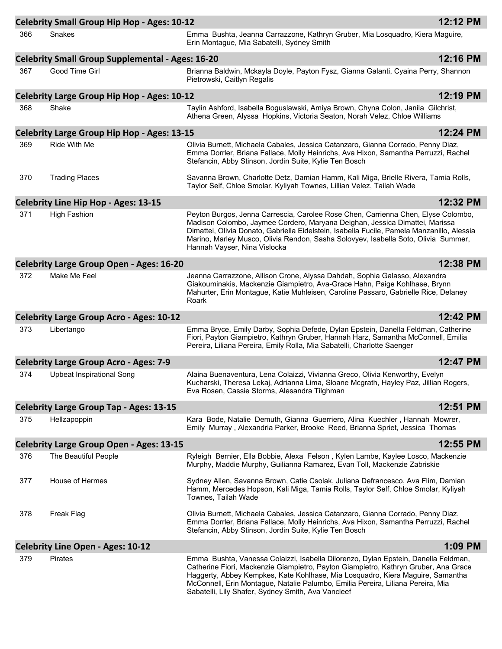|     | <b>Celebrity Small Group Hip Hop - Ages: 10-12</b>      |                                                                                                                                                                                                                                                                                                                                                                                                      | 12:12 PM |
|-----|---------------------------------------------------------|------------------------------------------------------------------------------------------------------------------------------------------------------------------------------------------------------------------------------------------------------------------------------------------------------------------------------------------------------------------------------------------------------|----------|
| 366 | <b>Snakes</b>                                           | Emma Bushta, Jeanna Carrazzone, Kathryn Gruber, Mia Losquadro, Kiera Maguire,<br>Erin Montague, Mia Sabatelli, Sydney Smith                                                                                                                                                                                                                                                                          |          |
|     | <b>Celebrity Small Group Supplemental - Ages: 16-20</b> |                                                                                                                                                                                                                                                                                                                                                                                                      | 12:16 PM |
| 367 | Good Time Girl                                          | Brianna Baldwin, Mckayla Doyle, Payton Fysz, Gianna Galanti, Cyaina Perry, Shannon<br>Pietrowski, Caitlyn Regalis                                                                                                                                                                                                                                                                                    |          |
|     | Celebrity Large Group Hip Hop - Ages: 10-12             |                                                                                                                                                                                                                                                                                                                                                                                                      | 12:19 PM |
| 368 | Shake                                                   | Taylin Ashford, Isabella Boguslawski, Amiya Brown, Chyna Colon, Janila Gilchrist,<br>Athena Green, Alyssa Hopkins, Victoria Seaton, Norah Velez, Chloe Williams                                                                                                                                                                                                                                      |          |
|     | <b>Celebrity Large Group Hip Hop - Ages: 13-15</b>      |                                                                                                                                                                                                                                                                                                                                                                                                      | 12:24 PM |
| 369 | Ride With Me                                            | Olivia Burnett, Michaela Cabales, Jessica Catanzaro, Gianna Corrado, Penny Diaz,<br>Emma Dorrler, Briana Fallace, Molly Heinrichs, Ava Hixon, Samantha Perruzzi, Rachel<br>Stefancin, Abby Stinson, Jordin Suite, Kylie Ten Bosch                                                                                                                                                                    |          |
| 370 | <b>Trading Places</b>                                   | Savanna Brown, Charlotte Detz, Damian Hamm, Kali Miga, Brielle Rivera, Tamia Rolls,<br>Taylor Self, Chloe Smolar, Kyliyah Townes, Lillian Velez, Tailah Wade                                                                                                                                                                                                                                         |          |
|     | <b>Celebrity Line Hip Hop - Ages: 13-15</b>             |                                                                                                                                                                                                                                                                                                                                                                                                      | 12:32 PM |
| 371 | <b>High Fashion</b>                                     | Peyton Burgos, Jenna Carrescia, Carolee Rose Chen, Carrienna Chen, Elyse Colombo,<br>Madison Colombo, Jaymee Cordero, Maryana Deighan, Jessica Dimattei, Marissa<br>Dimattei, Olivia Donato, Gabriella Eidelstein, Isabella Fucile, Pamela Manzanillo, Alessia<br>Marino, Marley Musco, Olivia Rendon, Sasha Solovyev, Isabella Soto, Olivia Summer,<br>Hannah Vayser, Nina Vislocka                 |          |
|     | <b>Celebrity Large Group Open - Ages: 16-20</b>         |                                                                                                                                                                                                                                                                                                                                                                                                      | 12:38 PM |
| 372 | Make Me Feel                                            | Jeanna Carrazzone, Allison Crone, Alyssa Dahdah, Sophia Galasso, Alexandra<br>Giakouminakis, Mackenzie Giampietro, Ava-Grace Hahn, Paige Kohlhase, Brynn<br>Mahurter, Erin Montague, Katie Muhleisen, Caroline Passaro, Gabrielle Rice, Delaney<br>Roark                                                                                                                                             |          |
|     | <b>Celebrity Large Group Acro - Ages: 10-12</b>         |                                                                                                                                                                                                                                                                                                                                                                                                      | 12:42 PM |
| 373 | Libertango                                              | Emma Bryce, Emily Darby, Sophia Defede, Dylan Epstein, Danella Feldman, Catherine<br>Fiori, Payton Giampietro, Kathryn Gruber, Hannah Harz, Samantha McConnell, Emilia<br>Pereira, Liliana Pereira, Emily Rolla, Mia Sabatelli, Charlotte Saenger                                                                                                                                                    |          |
|     | <b>Celebrity Large Group Acro - Ages: 7-9</b>           |                                                                                                                                                                                                                                                                                                                                                                                                      | 12:47 PM |
| 374 | <b>Upbeat Inspirational Song</b>                        | Alaina Buenaventura, Lena Colaizzi, Vivianna Greco, Olivia Kenworthy, Evelyn<br>Kucharski, Theresa Lekaj, Adrianna Lima, Sloane Mcgrath, Hayley Paz, Jillian Rogers,<br>Eva Rosen, Cassie Storms, Alesandra Tilghman                                                                                                                                                                                 |          |
|     | <b>Celebrity Large Group Tap - Ages: 13-15</b>          |                                                                                                                                                                                                                                                                                                                                                                                                      | 12:51 PM |
| 375 | Hellzapoppin                                            | Kara Bode, Natalie Demuth, Gianna Guerriero, Alina Kuechler, Hannah Mowrer,<br>Emily Murray, Alexandria Parker, Brooke Reed, Brianna Spriet, Jessica Thomas                                                                                                                                                                                                                                          |          |
|     | <b>Celebrity Large Group Open - Ages: 13-15</b>         |                                                                                                                                                                                                                                                                                                                                                                                                      | 12:55 PM |
| 376 | The Beautiful People                                    | Ryleigh Bernier, Ella Bobbie, Alexa Felson, Kylen Lambe, Kaylee Losco, Mackenzie<br>Murphy, Maddie Murphy, Guilianna Ramarez, Evan Toll, Mackenzie Zabriskie                                                                                                                                                                                                                                         |          |
| 377 | House of Hermes                                         | Sydney Allen, Savanna Brown, Catie Csolak, Juliana Defrancesco, Ava Flim, Damian<br>Hamm, Mercedes Hopson, Kali Miga, Tamia Rolls, Taylor Self, Chloe Smolar, Kyliyah<br>Townes, Tailah Wade                                                                                                                                                                                                         |          |
| 378 | Freak Flag                                              | Olivia Burnett, Michaela Cabales, Jessica Catanzaro, Gianna Corrado, Penny Diaz,<br>Emma Dorrler, Briana Fallace, Molly Heinrichs, Ava Hixon, Samantha Perruzzi, Rachel<br>Stefancin, Abby Stinson, Jordin Suite, Kylie Ten Bosch                                                                                                                                                                    |          |
|     | <b>Celebrity Line Open - Ages: 10-12</b>                |                                                                                                                                                                                                                                                                                                                                                                                                      | 1:09 PM  |
| 379 | <b>Pirates</b>                                          | Emma Bushta, Vanessa Colaizzi, Isabella Dilorenzo, Dylan Epstein, Danella Feldman,<br>Catherine Fiori, Mackenzie Giampietro, Payton Giampietro, Kathryn Gruber, Ana Grace<br>Haggerty, Abbey Kempkes, Kate Kohlhase, Mia Losquadro, Kiera Maguire, Samantha<br>McConnell, Erin Montague, Natalie Palumbo, Emilia Pereira, Liliana Pereira, Mia<br>Sabatelli, Lily Shafer, Sydney Smith, Ava Vancleef |          |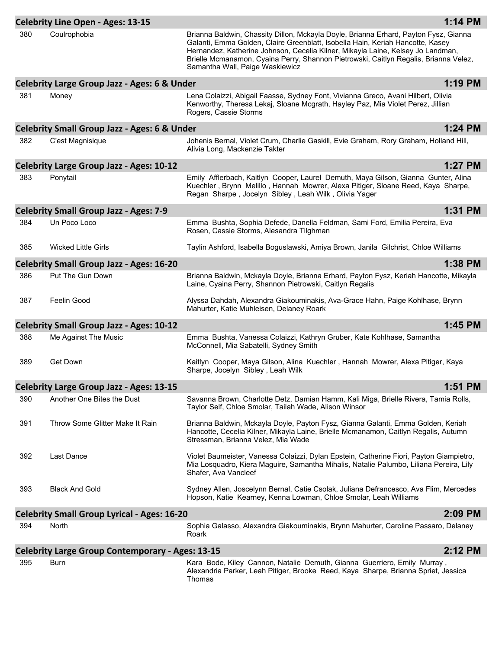|     | <b>Celebrity Line Open - Ages: 13-15</b>                |                                                                                                                                                                                                                                                                                                                                                                                      | 1:14 PM |
|-----|---------------------------------------------------------|--------------------------------------------------------------------------------------------------------------------------------------------------------------------------------------------------------------------------------------------------------------------------------------------------------------------------------------------------------------------------------------|---------|
| 380 | Coulrophobia                                            | Brianna Baldwin, Chassity Dillon, Mckayla Doyle, Brianna Erhard, Payton Fysz, Gianna<br>Galanti, Emma Golden, Claire Greenblatt, Isobella Hain, Keriah Hancotte, Kasey<br>Hernandez, Katherine Johnson, Cecelia Kilner, Mikayla Laine, Kelsey Jo Landman,<br>Brielle Mcmanamon, Cyaina Perry, Shannon Pietrowski, Caitlyn Regalis, Brianna Velez,<br>Samantha Wall, Paige Waskiewicz |         |
|     | Celebrity Large Group Jazz - Ages: 6 & Under            |                                                                                                                                                                                                                                                                                                                                                                                      | 1:19 PM |
| 381 | Money                                                   | Lena Colaizzi, Abigail Faasse, Sydney Font, Vivianna Greco, Avani Hilbert, Olivia<br>Kenworthy, Theresa Lekaj, Sloane Mcgrath, Hayley Paz, Mia Violet Perez, Jillian<br>Rogers, Cassie Storms                                                                                                                                                                                        |         |
|     | <b>Celebrity Small Group Jazz - Ages: 6 &amp; Under</b> |                                                                                                                                                                                                                                                                                                                                                                                      | 1:24 PM |
| 382 | C'est Magnisique                                        | Johenis Bernal, Violet Crum, Charlie Gaskill, Evie Graham, Rory Graham, Holland Hill,<br>Alivia Long, Mackenzie Takter                                                                                                                                                                                                                                                               |         |
|     | Celebrity Large Group Jazz - Ages: 10-12                |                                                                                                                                                                                                                                                                                                                                                                                      | 1:27 PM |
| 383 | Ponytail                                                | Emily Afflerbach, Kaitlyn Cooper, Laurel Demuth, Maya Gilson, Gianna Gunter, Alina<br>Kuechler, Brynn Melillo, Hannah Mowrer, Alexa Pitiger, Sloane Reed, Kaya Sharpe,<br>Regan Sharpe, Jocelyn Sibley, Leah Wilk, Olivia Yager                                                                                                                                                      |         |
|     | <b>Celebrity Small Group Jazz - Ages: 7-9</b>           |                                                                                                                                                                                                                                                                                                                                                                                      | 1:31 PM |
| 384 | Un Poco Loco                                            | Emma Bushta, Sophia Defede, Danella Feldman, Sami Ford, Emilia Pereira, Eva<br>Rosen, Cassie Storms, Alesandra Tilghman                                                                                                                                                                                                                                                              |         |
| 385 | <b>Wicked Little Girls</b>                              | Taylin Ashford, Isabella Boguslawski, Amiya Brown, Janila Gilchrist, Chloe Williams                                                                                                                                                                                                                                                                                                  |         |
|     | <b>Celebrity Small Group Jazz - Ages: 16-20</b>         |                                                                                                                                                                                                                                                                                                                                                                                      | 1:38 PM |
| 386 | Put The Gun Down                                        | Brianna Baldwin, Mckayla Doyle, Brianna Erhard, Payton Fysz, Keriah Hancotte, Mikayla<br>Laine, Cyaina Perry, Shannon Pietrowski, Caitlyn Regalis                                                                                                                                                                                                                                    |         |
| 387 | Feelin Good                                             | Alyssa Dahdah, Alexandra Giakouminakis, Ava-Grace Hahn, Paige Kohlhase, Brynn<br>Mahurter, Katie Muhleisen, Delaney Roark                                                                                                                                                                                                                                                            |         |
|     | <b>Celebrity Small Group Jazz - Ages: 10-12</b>         |                                                                                                                                                                                                                                                                                                                                                                                      | 1:45 PM |
| 388 | Me Against The Music                                    | Emma Bushta, Vanessa Colaizzi, Kathryn Gruber, Kate Kohlhase, Samantha<br>McConnell, Mia Sabatelli, Sydney Smith                                                                                                                                                                                                                                                                     |         |
| 389 | Get Down                                                | Kaitlyn Cooper, Maya Gilson, Alina Kuechler, Hannah Mowrer, Alexa Pitiger, Kaya<br>Sharpe, Jocelyn Sibley, Leah Wilk                                                                                                                                                                                                                                                                 |         |
|     | <b>Celebrity Large Group Jazz - Ages: 13-15</b>         |                                                                                                                                                                                                                                                                                                                                                                                      | 1:51 PM |
| 390 | Another One Bites the Dust                              | Savanna Brown, Charlotte Detz, Damian Hamm, Kali Miga, Brielle Rivera, Tamia Rolls,<br>Taylor Self, Chloe Smolar, Tailah Wade, Alison Winsor                                                                                                                                                                                                                                         |         |
| 391 | Throw Some Glitter Make It Rain                         | Brianna Baldwin, Mckayla Doyle, Payton Fysz, Gianna Galanti, Emma Golden, Keriah<br>Hancotte, Cecelia Kilner, Mikayla Laine, Brielle Mcmanamon, Caitlyn Regalis, Autumn<br>Stressman, Brianna Velez, Mia Wade                                                                                                                                                                        |         |
| 392 | <b>Last Dance</b>                                       | Violet Baumeister, Vanessa Colaizzi, Dylan Epstein, Catherine Fiori, Payton Giampietro,<br>Mia Losquadro, Kiera Maguire, Samantha Mihalis, Natalie Palumbo, Liliana Pereira, Lily<br>Shafer, Ava Vancleef                                                                                                                                                                            |         |
| 393 | <b>Black And Gold</b>                                   | Sydney Allen, Joscelynn Bernal, Catie Csolak, Juliana Defrancesco, Ava Flim, Mercedes<br>Hopson, Katie Kearney, Kenna Lowman, Chloe Smolar, Leah Williams                                                                                                                                                                                                                            |         |
|     | <b>Celebrity Small Group Lyrical - Ages: 16-20</b>      |                                                                                                                                                                                                                                                                                                                                                                                      | 2:09 PM |
| 394 | North                                                   | Sophia Galasso, Alexandra Giakouminakis, Brynn Mahurter, Caroline Passaro, Delaney<br>Roark                                                                                                                                                                                                                                                                                          |         |
|     | <b>Celebrity Large Group Contemporary - Ages: 13-15</b> |                                                                                                                                                                                                                                                                                                                                                                                      | 2:12 PM |
| 395 | Burn                                                    | Kara Bode, Kiley Cannon, Natalie Demuth, Gianna Guerriero, Emily Murray,<br>Alexandria Parker, Leah Pitiger, Brooke Reed, Kaya Sharpe, Brianna Spriet, Jessica<br>Thomas                                                                                                                                                                                                             |         |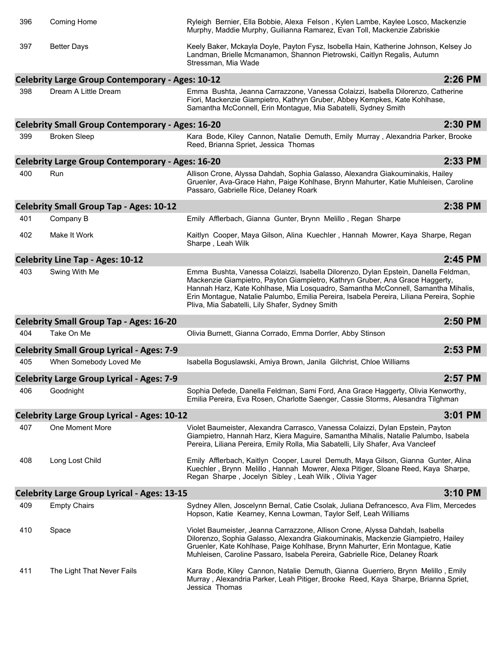| 396 | Coming Home                                                   | Ryleigh Bernier, Ella Bobbie, Alexa Felson, Kylen Lambe, Kaylee Losco, Mackenzie<br>Murphy, Maddie Murphy, Guilianna Ramarez, Evan Toll, Mackenzie Zabriskie                                                                                                                                                                                                                                          |         |
|-----|---------------------------------------------------------------|-------------------------------------------------------------------------------------------------------------------------------------------------------------------------------------------------------------------------------------------------------------------------------------------------------------------------------------------------------------------------------------------------------|---------|
| 397 | <b>Better Days</b>                                            | Keely Baker, Mckayla Doyle, Payton Fysz, Isobella Hain, Katherine Johnson, Kelsey Jo<br>Landman, Brielle Mcmanamon, Shannon Pietrowski, Caitlyn Regalis, Autumn<br>Stressman, Mia Wade                                                                                                                                                                                                                |         |
|     | <b>Celebrity Large Group Contemporary - Ages: 10-12</b>       |                                                                                                                                                                                                                                                                                                                                                                                                       | 2:26 PM |
| 398 | Dream A Little Dream                                          | Emma Bushta, Jeanna Carrazzone, Vanessa Colaizzi, Isabella Dilorenzo, Catherine<br>Fiori, Mackenzie Giampietro, Kathryn Gruber, Abbey Kempkes, Kate Kohlhase,<br>Samantha McConnell, Erin Montague, Mia Sabatelli, Sydney Smith                                                                                                                                                                       |         |
|     | <b>Celebrity Small Group Contemporary - Ages: 16-20</b>       |                                                                                                                                                                                                                                                                                                                                                                                                       | 2:30 PM |
| 399 | <b>Broken Sleep</b>                                           | Kara Bode, Kiley Cannon, Natalie Demuth, Emily Murray, Alexandria Parker, Brooke<br>Reed, Brianna Spriet, Jessica Thomas                                                                                                                                                                                                                                                                              |         |
|     | <b>Celebrity Large Group Contemporary - Ages: 16-20</b>       |                                                                                                                                                                                                                                                                                                                                                                                                       | 2:33 PM |
| 400 | Run                                                           | Allison Crone, Alyssa Dahdah, Sophia Galasso, Alexandra Giakouminakis, Hailey<br>Gruenler, Ava-Grace Hahn, Paige Kohlhase, Brynn Mahurter, Katie Muhleisen, Caroline<br>Passaro, Gabrielle Rice, Delaney Roark                                                                                                                                                                                        |         |
|     | <b>Celebrity Small Group Tap - Ages: 10-12</b>                |                                                                                                                                                                                                                                                                                                                                                                                                       | 2:38 PM |
| 401 | Company B                                                     | Emily Afflerbach, Gianna Gunter, Brynn Melillo, Regan Sharpe                                                                                                                                                                                                                                                                                                                                          |         |
| 402 | Make It Work                                                  | Kaitlyn Cooper, Maya Gilson, Alina Kuechler, Hannah Mowrer, Kaya Sharpe, Regan<br>Sharpe, Leah Wilk                                                                                                                                                                                                                                                                                                   |         |
|     | <b>Celebrity Line Tap - Ages: 10-12</b>                       |                                                                                                                                                                                                                                                                                                                                                                                                       | 2:45 PM |
| 403 | Swing With Me                                                 | Emma Bushta, Vanessa Colaizzi, Isabella Dilorenzo, Dylan Epstein, Danella Feldman,<br>Mackenzie Giampietro, Payton Giampietro, Kathryn Gruber, Ana Grace Haggerty,<br>Hannah Harz, Kate Kohlhase, Mia Losquadro, Samantha McConnell, Samantha Mihalis,<br>Erin Montague, Natalie Palumbo, Emilia Pereira, Isabela Pereira, Liliana Pereira, Sophie<br>Pliva, Mia Sabatelli, Lily Shafer, Sydney Smith |         |
|     | <b>Celebrity Small Group Tap - Ages: 16-20</b>                |                                                                                                                                                                                                                                                                                                                                                                                                       | 2:50 PM |
| 404 | Take On Me                                                    | Olivia Burnett, Gianna Corrado, Emma Dorrler, Abby Stinson                                                                                                                                                                                                                                                                                                                                            |         |
|     | <b>Celebrity Small Group Lyrical - Ages: 7-9</b>              |                                                                                                                                                                                                                                                                                                                                                                                                       | 2:53 PM |
| 405 |                                                               |                                                                                                                                                                                                                                                                                                                                                                                                       |         |
|     | When Somebody Loved Me                                        | Isabella Boguslawski, Amiya Brown, Janila Gilchrist, Chloe Williams                                                                                                                                                                                                                                                                                                                                   |         |
|     |                                                               |                                                                                                                                                                                                                                                                                                                                                                                                       | 2:57 PM |
| 406 | <b>Celebrity Large Group Lyrical - Ages: 7-9</b><br>Goodnight | Sophia Defede, Danella Feldman, Sami Ford, Ana Grace Haggerty, Olivia Kenworthy,<br>Emilia Pereira, Eva Rosen, Charlotte Saenger, Cassie Storms, Alesandra Tilghman                                                                                                                                                                                                                                   |         |
|     | <b>Celebrity Large Group Lyrical - Ages: 10-12</b>            |                                                                                                                                                                                                                                                                                                                                                                                                       | 3:01 PM |
| 407 | One Moment More                                               | Violet Baumeister, Alexandra Carrasco, Vanessa Colaizzi, Dylan Epstein, Payton<br>Giampietro, Hannah Harz, Kiera Maguire, Samantha Mihalis, Natalie Palumbo, Isabela<br>Pereira, Liliana Pereira, Emily Rolla, Mia Sabatelli, Lily Shafer, Ava Vancleef                                                                                                                                               |         |
| 408 | Long Lost Child                                               | Emily Afflerbach, Kaitlyn Cooper, Laurel Demuth, Maya Gilson, Gianna Gunter, Alina<br>Kuechler, Brynn Melillo, Hannah Mowrer, Alexa Pitiger, Sloane Reed, Kaya Sharpe,<br>Regan Sharpe, Jocelyn Sibley, Leah Wilk, Olivia Yager                                                                                                                                                                       |         |
|     | <b>Celebrity Large Group Lyrical - Ages: 13-15</b>            |                                                                                                                                                                                                                                                                                                                                                                                                       | 3:10 PM |
| 409 | <b>Empty Chairs</b>                                           | Sydney Allen, Joscelynn Bernal, Catie Csolak, Juliana Defrancesco, Ava Flim, Mercedes<br>Hopson, Katie Kearney, Kenna Lowman, Taylor Self, Leah Williams                                                                                                                                                                                                                                              |         |
| 410 | Space                                                         | Violet Baumeister, Jeanna Carrazzone, Allison Crone, Alyssa Dahdah, Isabella<br>Dilorenzo, Sophia Galasso, Alexandra Giakouminakis, Mackenzie Giampietro, Hailey<br>Gruenler, Kate Kohlhase, Paige Kohlhase, Brynn Mahurter, Erin Montague, Katie<br>Muhleisen, Caroline Passaro, Isabela Pereira, Gabrielle Rice, Delaney Roark                                                                      |         |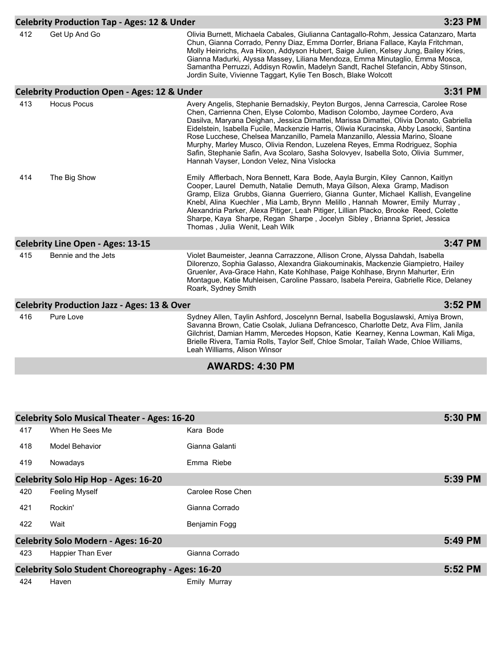| <b>Celebrity Production Tap - Ages: 12 &amp; Under</b> |                                                         |                                                                                                                                                                                                                                                                                                                                                                                                                                                                                                                                                                                                                                                        | 3:23 PM |
|--------------------------------------------------------|---------------------------------------------------------|--------------------------------------------------------------------------------------------------------------------------------------------------------------------------------------------------------------------------------------------------------------------------------------------------------------------------------------------------------------------------------------------------------------------------------------------------------------------------------------------------------------------------------------------------------------------------------------------------------------------------------------------------------|---------|
| 412                                                    | Get Up And Go                                           | Olivia Burnett, Michaela Cabales, Giulianna Cantagallo-Rohm, Jessica Catanzaro, Marta<br>Chun, Gianna Corrado, Penny Diaz, Emma Dorrler, Briana Fallace, Kayla Fritchman,<br>Molly Heinrichs, Ava Hixon, Addyson Hubert, Saige Julien, Kelsey Jung, Bailey Kries,<br>Gianna Madurki, Alyssa Massey, Liliana Mendoza, Emma Minutaglio, Emma Mosca,<br>Samantha Perruzzi, Addisyn Rowlin, Madelyn Sandt, Rachel Stefancin, Abby Stinson,<br>Jordin Suite, Vivienne Taggart, Kylie Ten Bosch, Blake Wolcott                                                                                                                                               |         |
|                                                        | <b>Celebrity Production Open - Ages: 12 &amp; Under</b> |                                                                                                                                                                                                                                                                                                                                                                                                                                                                                                                                                                                                                                                        | 3:31 PM |
| 413                                                    | <b>Hocus Pocus</b>                                      | Avery Angelis, Stephanie Bernadskiy, Peyton Burgos, Jenna Carrescia, Carolee Rose<br>Chen, Carrienna Chen, Elyse Colombo, Madison Colombo, Jaymee Cordero, Ava<br>Dasilva, Maryana Deighan, Jessica Dimattei, Marissa Dimattei, Olivia Donato, Gabriella<br>Eidelstein, Isabella Fucile, Mackenzie Harris, Oliwia Kuracinska, Abby Lasocki, Santina<br>Rose Lucchese, Chelsea Manzanillo, Pamela Manzanillo, Alessia Marino, Sloane<br>Murphy, Marley Musco, Olivia Rendon, Luzelena Reyes, Emma Rodriguez, Sophia<br>Safin, Stephanie Safin, Ava Scolaro, Sasha Solovyev, Isabella Soto, Olivia Summer,<br>Hannah Vayser, London Velez, Nina Vislocka |         |
| 414                                                    | The Big Show                                            | Emily Afflerbach, Nora Bennett, Kara Bode, Aayla Burgin, Kiley Cannon, Kaitlyn<br>Cooper, Laurel Demuth, Natalie Demuth, Maya Gilson, Alexa Gramp, Madison<br>Gramp, Eliza Grubbs, Gianna Guerriero, Gianna Gunter, Michael Kallish, Evangeline<br>Knebl, Alina Kuechler, Mia Lamb, Brynn Melillo, Hannah Mowrer, Emily Murray,<br>Alexandria Parker, Alexa Pitiger, Leah Pitiger, Lillian Placko, Brooke Reed, Colette<br>Sharpe, Kaya Sharpe, Regan Sharpe, Jocelyn Sibley, Brianna Spriet, Jessica<br>Thomas, Julia Wenit, Leah Wilk                                                                                                                |         |
|                                                        | <b>Celebrity Line Open - Ages: 13-15</b>                |                                                                                                                                                                                                                                                                                                                                                                                                                                                                                                                                                                                                                                                        | 3:47 PM |
| 415                                                    | Bennie and the Jets                                     | Violet Baumeister, Jeanna Carrazzone, Allison Crone, Alyssa Dahdah, Isabella<br>Dilorenzo, Sophia Galasso, Alexandra Giakouminakis, Mackenzie Giampietro, Hailey<br>Gruenler, Ava-Grace Hahn, Kate Kohlhase, Paige Kohlhase, Brynn Mahurter, Erin<br>Montague, Katie Muhleisen, Caroline Passaro, Isabela Pereira, Gabrielle Rice, Delaney<br>Roark, Sydney Smith                                                                                                                                                                                                                                                                                      |         |
|                                                        | <b>Celebrity Production Jazz - Ages: 13 &amp; Over</b>  |                                                                                                                                                                                                                                                                                                                                                                                                                                                                                                                                                                                                                                                        | 3:52 PM |
| 416                                                    | Pure Love                                               | Sydney Allen, Taylin Ashford, Joscelynn Bernal, Isabella Boguslawski, Amiya Brown,<br>Savanna Brown, Catie Csolak, Juliana Defrancesco, Charlotte Detz, Ava Flim, Janila<br>Gilchrist, Damian Hamm, Mercedes Hopson, Katie Kearney, Kenna Lowman, Kali Miga,<br>Brielle Rivera, Tamia Rolls, Taylor Self, Chloe Smolar, Tailah Wade, Chloe Williams,<br>Leah Williams, Alison Winsor                                                                                                                                                                                                                                                                   |         |

## **AWARDS: 4:30 PM**

| <b>Celebrity Solo Musical Theater - Ages: 16-20</b>      |                       |                   | 5:30 PM |
|----------------------------------------------------------|-----------------------|-------------------|---------|
| 417                                                      | When He Sees Me       | Kara Bode         |         |
| 418                                                      | Model Behavior        | Gianna Galanti    |         |
| 419                                                      | Nowadays              | Emma Riebe        |         |
| <b>Celebrity Solo Hip Hop - Ages: 16-20</b>              |                       |                   | 5:39 PM |
| 420                                                      | <b>Feeling Myself</b> | Carolee Rose Chen |         |
| 421                                                      | Rockin'               | Gianna Corrado    |         |
| 422                                                      | Wait                  | Benjamin Fogg     |         |
| <b>Celebrity Solo Modern - Ages: 16-20</b>               |                       | 5:49 PM           |         |
| 423                                                      | Happier Than Ever     | Gianna Corrado    |         |
| <b>Celebrity Solo Student Choreography - Ages: 16-20</b> |                       |                   | 5:52 PM |
| 424                                                      | Haven                 | Emily Murray      |         |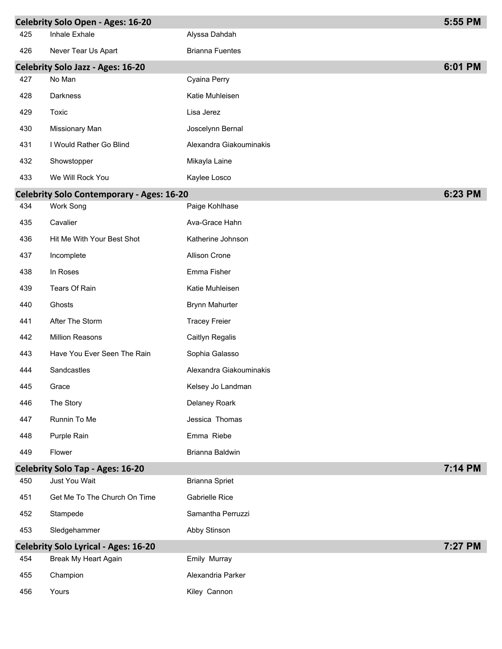|     | <b>Celebrity Solo Open - Ages: 16-20</b>         |                         | 5:55 PM |
|-----|--------------------------------------------------|-------------------------|---------|
| 425 | Inhale Exhale                                    | Alyssa Dahdah           |         |
| 426 | Never Tear Us Apart                              | <b>Brianna Fuentes</b>  |         |
|     | <b>Celebrity Solo Jazz - Ages: 16-20</b>         |                         | 6:01 PM |
| 427 | No Man                                           | Cyaina Perry            |         |
| 428 | Darkness                                         | Katie Muhleisen         |         |
| 429 | Toxic                                            | Lisa Jerez              |         |
| 430 | Missionary Man                                   | Joscelynn Bernal        |         |
| 431 | I Would Rather Go Blind                          | Alexandra Giakouminakis |         |
| 432 | Showstopper                                      | Mikayla Laine           |         |
| 433 | We Will Rock You                                 | Kaylee Losco            |         |
|     | <b>Celebrity Solo Contemporary - Ages: 16-20</b> |                         | 6:23 PM |
| 434 | Work Song                                        | Paige Kohlhase          |         |
| 435 | Cavalier                                         | Ava-Grace Hahn          |         |
| 436 | Hit Me With Your Best Shot                       | Katherine Johnson       |         |
| 437 | Incomplete                                       | Allison Crone           |         |
| 438 | In Roses                                         | Emma Fisher             |         |
| 439 | Tears Of Rain                                    | Katie Muhleisen         |         |
| 440 | Ghosts                                           | <b>Brynn Mahurter</b>   |         |
| 441 | After The Storm                                  | <b>Tracey Freier</b>    |         |
| 442 | <b>Million Reasons</b>                           | Caitlyn Regalis         |         |
| 443 | Have You Ever Seen The Rain                      | Sophia Galasso          |         |
| 444 | Sandcastles                                      | Alexandra Giakouminakis |         |
| 445 | Grace                                            | Kelsey Jo Landman       |         |
| 446 | The Story                                        | Delaney Roark           |         |
| 447 | Runnin To Me                                     | Jessica Thomas          |         |
| 448 | Purple Rain                                      | Emma Riebe              |         |
| 449 | Flower                                           | Brianna Baldwin         |         |
|     | <b>Celebrity Solo Tap - Ages: 16-20</b>          |                         | 7:14 PM |
| 450 | Just You Wait                                    | <b>Brianna Spriet</b>   |         |
| 451 | Get Me To The Church On Time                     | Gabrielle Rice          |         |
| 452 | Stampede                                         | Samantha Perruzzi       |         |
| 453 | Sledgehammer                                     | Abby Stinson            |         |
|     | <b>Celebrity Solo Lyrical - Ages: 16-20</b>      |                         | 7:27 PM |
| 454 | Break My Heart Again                             | Emily Murray            |         |
| 455 | Champion                                         | Alexandria Parker       |         |
| 456 | Yours                                            | Kiley Cannon            |         |